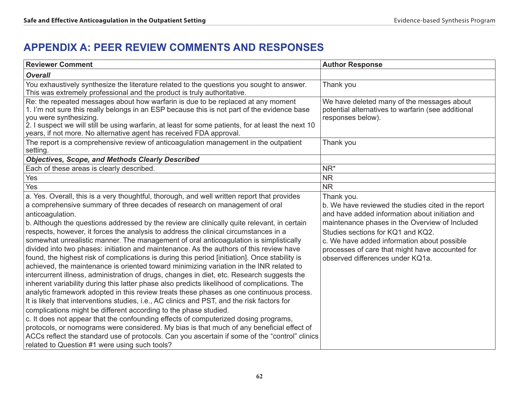# **APPENDIX A: Peer Review Comments and Responses**

| <b>Reviewer Comment</b>                                                                                                                                                                                                                                                                                                                                                                                                                                                                                                                                                                                                                                                                                                                                                                                                                                                                                                                                                                                                                                                                                                                                                                                                                                                                                                                                                                                                                                                                                                                                                   | <b>Author Response</b>                                                                                                                                                                                                                                                                                                                            |
|---------------------------------------------------------------------------------------------------------------------------------------------------------------------------------------------------------------------------------------------------------------------------------------------------------------------------------------------------------------------------------------------------------------------------------------------------------------------------------------------------------------------------------------------------------------------------------------------------------------------------------------------------------------------------------------------------------------------------------------------------------------------------------------------------------------------------------------------------------------------------------------------------------------------------------------------------------------------------------------------------------------------------------------------------------------------------------------------------------------------------------------------------------------------------------------------------------------------------------------------------------------------------------------------------------------------------------------------------------------------------------------------------------------------------------------------------------------------------------------------------------------------------------------------------------------------------|---------------------------------------------------------------------------------------------------------------------------------------------------------------------------------------------------------------------------------------------------------------------------------------------------------------------------------------------------|
| <b>Overall</b>                                                                                                                                                                                                                                                                                                                                                                                                                                                                                                                                                                                                                                                                                                                                                                                                                                                                                                                                                                                                                                                                                                                                                                                                                                                                                                                                                                                                                                                                                                                                                            |                                                                                                                                                                                                                                                                                                                                                   |
| You exhaustively synthesize the literature related to the questions you sought to answer.<br>This was extremely professional and the product is truly authoritative.                                                                                                                                                                                                                                                                                                                                                                                                                                                                                                                                                                                                                                                                                                                                                                                                                                                                                                                                                                                                                                                                                                                                                                                                                                                                                                                                                                                                      | Thank you                                                                                                                                                                                                                                                                                                                                         |
| Re: the repeated messages about how warfarin is due to be replaced at any moment<br>1. I'm not sure this really belongs in an ESP because this is not part of the evidence base<br>you were synthesizing.<br>2. I suspect we will still be using warfarin, at least for some patients, for at least the next 10<br>years, if not more. No alternative agent has received FDA approval.                                                                                                                                                                                                                                                                                                                                                                                                                                                                                                                                                                                                                                                                                                                                                                                                                                                                                                                                                                                                                                                                                                                                                                                    | We have deleted many of the messages about<br>potential alternatives to warfarin (see additional<br>responses below).                                                                                                                                                                                                                             |
| The report is a comprehensive review of anticoagulation management in the outpatient<br>setting.                                                                                                                                                                                                                                                                                                                                                                                                                                                                                                                                                                                                                                                                                                                                                                                                                                                                                                                                                                                                                                                                                                                                                                                                                                                                                                                                                                                                                                                                          | Thank you                                                                                                                                                                                                                                                                                                                                         |
| <b>Objectives, Scope, and Methods Clearly Described</b>                                                                                                                                                                                                                                                                                                                                                                                                                                                                                                                                                                                                                                                                                                                                                                                                                                                                                                                                                                                                                                                                                                                                                                                                                                                                                                                                                                                                                                                                                                                   |                                                                                                                                                                                                                                                                                                                                                   |
| Each of these areas is clearly described.                                                                                                                                                                                                                                                                                                                                                                                                                                                                                                                                                                                                                                                                                                                                                                                                                                                                                                                                                                                                                                                                                                                                                                                                                                                                                                                                                                                                                                                                                                                                 | NR <sup>*</sup>                                                                                                                                                                                                                                                                                                                                   |
| Yes                                                                                                                                                                                                                                                                                                                                                                                                                                                                                                                                                                                                                                                                                                                                                                                                                                                                                                                                                                                                                                                                                                                                                                                                                                                                                                                                                                                                                                                                                                                                                                       | <b>NR</b>                                                                                                                                                                                                                                                                                                                                         |
| Yes                                                                                                                                                                                                                                                                                                                                                                                                                                                                                                                                                                                                                                                                                                                                                                                                                                                                                                                                                                                                                                                                                                                                                                                                                                                                                                                                                                                                                                                                                                                                                                       | <b>NR</b>                                                                                                                                                                                                                                                                                                                                         |
| a. Yes. Overall, this is a very thoughtful, thorough, and well written report that provides<br>a comprehensive summary of three decades of research on management of oral<br>anticoagulation.<br>b. Although the questions addressed by the review are clinically quite relevant, in certain<br>respects, however, it forces the analysis to address the clinical circumstances in a<br>somewhat unrealistic manner. The management of oral anticoagulation is simplistically<br>divided into two phases: initiation and maintenance. As the authors of this review have<br>found, the highest risk of complications is during this period [initiation]. Once stability is<br>achieved, the maintenance is oriented toward minimizing variation in the INR related to<br>intercurrent illness, administration of drugs, changes in diet, etc. Research suggests the<br>inherent variability during this latter phase also predicts likelihood of complications. The<br>analytic framework adopted in this review treats these phases as one continuous process.<br>It is likely that interventions studies, i.e., AC clinics and PST, and the risk factors for<br>complications might be different according to the phase studied.<br>c. It does not appear that the confounding effects of computerized dosing programs,<br>protocols, or nomograms were considered. My bias is that much of any beneficial effect of<br>ACCs reflect the standard use of protocols. Can you ascertain if some of the "control" clinics<br>related to Question #1 were using such tools? | Thank you.<br>b. We have reviewed the studies cited in the report<br>and have added information about initiation and<br>maintenance phases in the Overview of Included<br>Studies sections for KQ1 and KQ2.<br>c. We have added information about possible<br>processes of care that might have accounted for<br>observed differences under KQ1a. |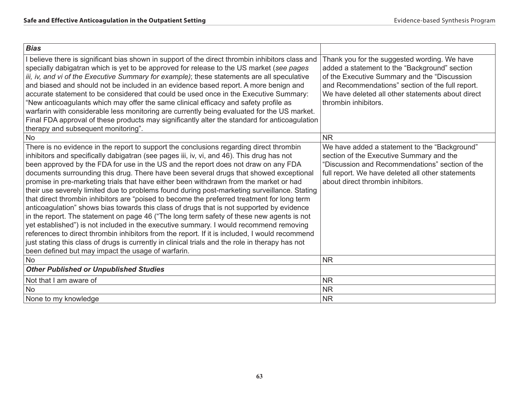| <b>Bias</b>                                                                                                                                                                                                                                                                                                                                                                                                                                                                                                                                                                                                                                                                                                                                                                                                                                                                                                                                                                                                                                                                                                                                                                                                   |                                                                                                                                                                                                                                                                                |
|---------------------------------------------------------------------------------------------------------------------------------------------------------------------------------------------------------------------------------------------------------------------------------------------------------------------------------------------------------------------------------------------------------------------------------------------------------------------------------------------------------------------------------------------------------------------------------------------------------------------------------------------------------------------------------------------------------------------------------------------------------------------------------------------------------------------------------------------------------------------------------------------------------------------------------------------------------------------------------------------------------------------------------------------------------------------------------------------------------------------------------------------------------------------------------------------------------------|--------------------------------------------------------------------------------------------------------------------------------------------------------------------------------------------------------------------------------------------------------------------------------|
| I believe there is significant bias shown in support of the direct thrombin inhibitors class and<br>specially dabigatran which is yet to be approved for release to the US market (see pages<br>iii, iv, and vi of the Executive Summary for example); these statements are all speculative<br>and biased and should not be included in an evidence based report. A more benign and<br>accurate statement to be considered that could be used once in the Executive Summary:<br>"New anticoagulants which may offer the same clinical efficacy and safety profile as<br>warfarin with considerable less monitoring are currently being evaluated for the US market.<br>Final FDA approval of these products may significantly alter the standard for anticoagulation<br>therapy and subsequent monitoring".                                                                                                                                                                                                                                                                                                                                                                                                   | Thank you for the suggested wording. We have<br>added a statement to the "Background" section<br>of the Executive Summary and the "Discussion<br>and Recommendations" section of the full report.<br>We have deleted all other statements about direct<br>thrombin inhibitors. |
| <b>No</b>                                                                                                                                                                                                                                                                                                                                                                                                                                                                                                                                                                                                                                                                                                                                                                                                                                                                                                                                                                                                                                                                                                                                                                                                     | <b>NR</b>                                                                                                                                                                                                                                                                      |
| There is no evidence in the report to support the conclusions regarding direct thrombin<br>inhibitors and specifically dabigatran (see pages iii, iv, vi, and 46). This drug has not<br>been approved by the FDA for use in the US and the report does not draw on any FDA<br>documents surrounding this drug. There have been several drugs that showed exceptional<br>promise in pre-marketing trials that have either been withdrawn from the market or had<br>their use severely limited due to problems found during post-marketing surveillance. Stating<br>that direct thrombin inhibitors are "poised to become the preferred treatment for long term<br>anticoagulation" shows bias towards this class of drugs that is not supported by evidence<br>in the report. The statement on page 46 ("The long term safety of these new agents is not<br>yet established") is not included in the executive summary. I would recommend removing<br>references to direct thrombin inhibitors from the report. If it is included, I would recommend<br>just stating this class of drugs is currently in clinical trials and the role in therapy has not<br>been defined but may impact the usage of warfarin. | We have added a statement to the "Background"<br>section of the Executive Summary and the<br>"Discussion and Recommendations" section of the<br>full report. We have deleted all other statements<br>about direct thrombin inhibitors.                                         |
| <b>No</b>                                                                                                                                                                                                                                                                                                                                                                                                                                                                                                                                                                                                                                                                                                                                                                                                                                                                                                                                                                                                                                                                                                                                                                                                     | <b>NR</b>                                                                                                                                                                                                                                                                      |
| <b>Other Published or Unpublished Studies</b>                                                                                                                                                                                                                                                                                                                                                                                                                                                                                                                                                                                                                                                                                                                                                                                                                                                                                                                                                                                                                                                                                                                                                                 |                                                                                                                                                                                                                                                                                |
| Not that I am aware of                                                                                                                                                                                                                                                                                                                                                                                                                                                                                                                                                                                                                                                                                                                                                                                                                                                                                                                                                                                                                                                                                                                                                                                        | <b>NR</b>                                                                                                                                                                                                                                                                      |
| <b>No</b>                                                                                                                                                                                                                                                                                                                                                                                                                                                                                                                                                                                                                                                                                                                                                                                                                                                                                                                                                                                                                                                                                                                                                                                                     | <b>NR</b>                                                                                                                                                                                                                                                                      |
| None to my knowledge                                                                                                                                                                                                                                                                                                                                                                                                                                                                                                                                                                                                                                                                                                                                                                                                                                                                                                                                                                                                                                                                                                                                                                                          | <b>NR</b>                                                                                                                                                                                                                                                                      |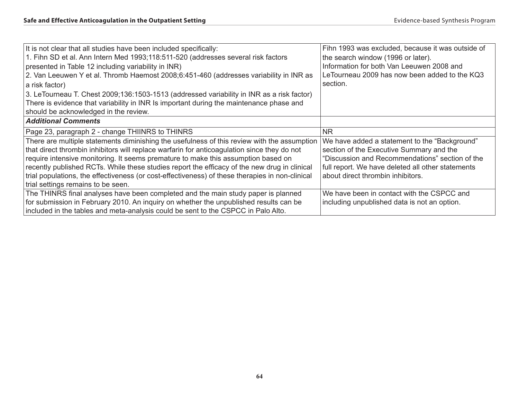| It is not clear that all studies have been included specifically:                               | Fihn 1993 was excluded, because it was outside of |
|-------------------------------------------------------------------------------------------------|---------------------------------------------------|
| 1. Fihn SD et al. Ann Intern Med 1993;118:511-520 (addresses several risk factors               | the search window (1996 or later).                |
| presented in Table 12 including variability in INR)                                             | Information for both Van Leeuwen 2008 and         |
| 2. Van Leeuwen Y et al. Thromb Haemost 2008;6:451-460 (addresses variability in INR as          | LeTourneau 2009 has now been added to the KQ3     |
| a risk factor)                                                                                  | section.                                          |
| 3. LeTourneau T. Chest 2009;136:1503-1513 (addressed variability in INR as a risk factor)       |                                                   |
| There is evidence that variability in INR Is important during the maintenance phase and         |                                                   |
| should be acknowledged in the review.                                                           |                                                   |
| <b>Additional Comments</b>                                                                      |                                                   |
| Page 23, paragraph 2 - change THIINRS to THINRS                                                 | NR.                                               |
| There are multiple statements diminishing the usefulness of this review with the assumption     | We have added a statement to the "Background"     |
| that direct thrombin inhibitors will replace warfarin for anticoagulation since they do not     | section of the Executive Summary and the          |
| require intensive monitoring. It seems premature to make this assumption based on               | "Discussion and Recommendations" section of the   |
| recently published RCTs. While these studies report the efficacy of the new drug in clinical    | full report. We have deleted all other statements |
| trial populations, the effectiveness (or cost-effectiveness) of these therapies in non-clinical | about direct thrombin inhibitors.                 |
| trial settings remains to be seen.                                                              |                                                   |
| The THINRS final analyses have been completed and the main study paper is planned               | We have been in contact with the CSPCC and        |
| for submission in February 2010. An inquiry on whether the unpublished results can be           | including unpublished data is not an option.      |
| included in the tables and meta-analysis could be sent to the CSPCC in Palo Alto.               |                                                   |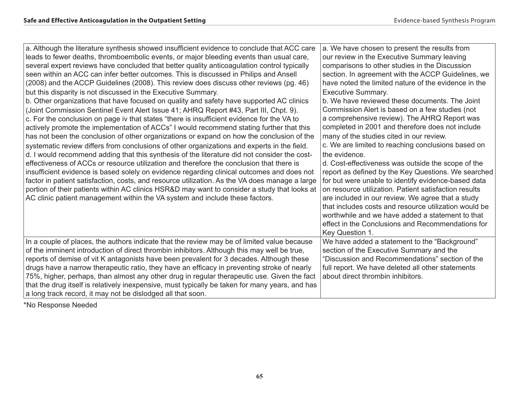| a. Although the literature synthesis showed insufficient evidence to conclude that ACC care<br>leads to fewer deaths, thromboembolic events, or major bleeding events than usual care,<br>several expert reviews have concluded that better quality anticoagulation control typically<br>seen within an ACC can infer better outcomes. This is discussed in Philips and Ansell<br>(2008) and the ACCP Guidelines (2008). This review does discuss other reviews (pg. 46)<br>but this disparity is not discussed in the Executive Summary.<br>b. Other organizations that have focused on quality and safety have supported AC clinics<br>(Joint Commission Sentinel Event Alert Issue 41; AHRQ Report #43, Part III, Chpt. 9).<br>c. For the conclusion on page iv that states "there is insufficient evidence for the VA to<br>actively promote the implementation of ACCs" I would recommend stating further that this<br>has not been the conclusion of other organizations or expand on how the conclusion of the<br>systematic review differs from conclusions of other organizations and experts in the field.<br>d. I would recommend adding that this synthesis of the literature did not consider the cost-<br>effectiveness of ACCs or resource utilization and therefore the conclusion that there is<br>insufficient evidence is based solely on evidence regarding clinical outcomes and does not<br>factor in patient satisfaction, costs, and resource utilization. As the VA does manage a large<br>portion of their patients within AC clinics HSR&D may want to consider a study that looks at<br>AC clinic patient management within the VA system and include these factors. | a. We have chosen to present the results from<br>our review in the Executive Summary leaving<br>comparisons to other studies in the Discussion<br>section. In agreement with the ACCP Guidelines, we<br>have noted the limited nature of the evidence in the<br><b>Executive Summary.</b><br>b. We have reviewed these documents. The Joint<br>Commission Alert is based on a few studies (not<br>a comprehensive review). The AHRQ Report was<br>completed in 2001 and therefore does not include<br>many of the studies cited in our review.<br>c. We are limited to reaching conclusions based on<br>the evidence.<br>d. Cost-effectiveness was outside the scope of the<br>report as defined by the Key Questions. We searched<br>for but were unable to identify evidence-based data<br>on resource utilization. Patient satisfaction results<br>are included in our review. We agree that a study<br>that includes costs and resource utilization would be<br>worthwhile and we have added a statement to that<br>effect in the Conclusions and Recommendations for |
|--------------------------------------------------------------------------------------------------------------------------------------------------------------------------------------------------------------------------------------------------------------------------------------------------------------------------------------------------------------------------------------------------------------------------------------------------------------------------------------------------------------------------------------------------------------------------------------------------------------------------------------------------------------------------------------------------------------------------------------------------------------------------------------------------------------------------------------------------------------------------------------------------------------------------------------------------------------------------------------------------------------------------------------------------------------------------------------------------------------------------------------------------------------------------------------------------------------------------------------------------------------------------------------------------------------------------------------------------------------------------------------------------------------------------------------------------------------------------------------------------------------------------------------------------------------------------------------------------------------------------------------------------------------------------------------------------|---------------------------------------------------------------------------------------------------------------------------------------------------------------------------------------------------------------------------------------------------------------------------------------------------------------------------------------------------------------------------------------------------------------------------------------------------------------------------------------------------------------------------------------------------------------------------------------------------------------------------------------------------------------------------------------------------------------------------------------------------------------------------------------------------------------------------------------------------------------------------------------------------------------------------------------------------------------------------------------------------------------------------------------------------------------------------|
| In a couple of places, the authors indicate that the review may be of limited value because<br>of the imminent introduction of direct thrombin inhibitors. Although this may well be true,<br>reports of demise of vit K antagonists have been prevalent for 3 decades. Although these<br>drugs have a narrow therapeutic ratio, they have an efficacy in preventing stroke of nearly<br>75%, higher, perhaps, than almost any other drug in regular therapeutic use. Given the fact<br>that the drug itself is relatively inexpensive, must typically be taken for many years, and has<br>a long track record, it may not be dislodged all that soon.                                                                                                                                                                                                                                                                                                                                                                                                                                                                                                                                                                                                                                                                                                                                                                                                                                                                                                                                                                                                                                           | Key Question 1.<br>We have added a statement to the "Background"<br>section of the Executive Summary and the<br>"Discussion and Recommendations" section of the<br>full report. We have deleted all other statements<br>about direct thrombin inhibitors.                                                                                                                                                                                                                                                                                                                                                                                                                                                                                                                                                                                                                                                                                                                                                                                                                 |

\*No Response Needed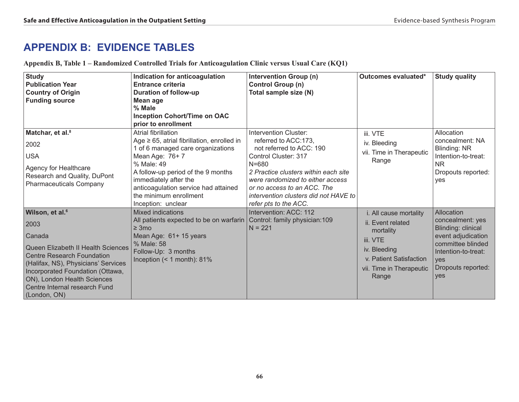# **APPENDIX B: Evidence Tables**

|  | Appendix B, Table 1 - Randomized Controlled Trials for Anticoagulation Clinic versus Usual Care (KQ1) |  |  |
|--|-------------------------------------------------------------------------------------------------------|--|--|
|  |                                                                                                       |  |  |

| <b>Study</b><br><b>Publication Year</b><br><b>Country of Origin</b><br><b>Funding source</b>                                                                                                                                       | Indication for anticoagulation<br>Entrance criteria<br><b>Duration of follow-up</b><br>Mean age<br>% Male<br><b>Inception Cohort/Time on OAC</b><br>prior to enrollment                                                                                                     | <b>Intervention Group (n)</b><br><b>Control Group (n)</b><br>Total sample size (N)                                                                                                                                                                                 | Outcomes evaluated*                                                          | <b>Study quality</b>                                                                             |
|------------------------------------------------------------------------------------------------------------------------------------------------------------------------------------------------------------------------------------|-----------------------------------------------------------------------------------------------------------------------------------------------------------------------------------------------------------------------------------------------------------------------------|--------------------------------------------------------------------------------------------------------------------------------------------------------------------------------------------------------------------------------------------------------------------|------------------------------------------------------------------------------|--------------------------------------------------------------------------------------------------|
| Matchar, et al. <sup>8</sup>                                                                                                                                                                                                       | Atrial fibrillation                                                                                                                                                                                                                                                         | Intervention Cluster:                                                                                                                                                                                                                                              | iii. VTE                                                                     | Allocation                                                                                       |
| 2002<br><b>USA</b><br>Agency for Healthcare<br>Research and Quality, DuPont<br><b>Pharmaceuticals Company</b>                                                                                                                      | Age $\geq$ 65, atrial fibrillation, enrolled in<br>1 of 6 managed care organizations<br>Mean Age: 76+7<br>% Male: 49<br>A follow-up period of the 9 months<br>immediately after the<br>anticoagulation service had attained<br>the minimum enrollment<br>Inception: unclear | referred to ACC:173,<br>not referred to ACC: 190<br>Control Cluster: 317<br>$N = 680$<br>2 Practice clusters within each site<br>were randomized to either access<br>or no access to an ACC. The<br>intervention clusters did not HAVE to<br>refer pts to the ACC. | iv. Bleeding<br>vii. Time in Therapeutic<br>Range                            | concealment: NA<br>Blinding: NR<br>Intention-to-treat:<br><b>NR</b><br>Dropouts reported:<br>yes |
| Wilson, et al. <sup>6</sup>                                                                                                                                                                                                        | <b>Mixed indications</b>                                                                                                                                                                                                                                                    | Intervention: ACC: 112                                                                                                                                                                                                                                             | i. All cause mortality                                                       | Allocation                                                                                       |
| 2003                                                                                                                                                                                                                               | All patients expected to be on warfarin Control: family physician:109<br>$\geq 3 \text{mo}$                                                                                                                                                                                 | $N = 221$                                                                                                                                                                                                                                                          | ii. Event related<br>mortality                                               | concealment: yes<br><b>Blinding: clinical</b>                                                    |
| Canada                                                                                                                                                                                                                             | Mean Age: 61+ 15 years                                                                                                                                                                                                                                                      |                                                                                                                                                                                                                                                                    | iii. VTE                                                                     | event adjudication                                                                               |
| Queen Elizabeth II Health Sciences<br><b>Centre Research Foundation</b><br>(Halifax, NS), Physicians' Services<br>Incorporated Foundation (Ottawa,<br>ON), London Health Sciences<br>Centre Internal research Fund<br>(London, ON) | % Male: 58<br>Follow-Up: 3 months<br>Inception $($ < 1 month): 81%                                                                                                                                                                                                          |                                                                                                                                                                                                                                                                    | iv. Bleeding<br>v. Patient Satisfaction<br>vii. Time in Therapeutic<br>Range | committee blinded<br>Intention-to-treat:<br><b>ves</b><br>Dropouts reported:<br>yes              |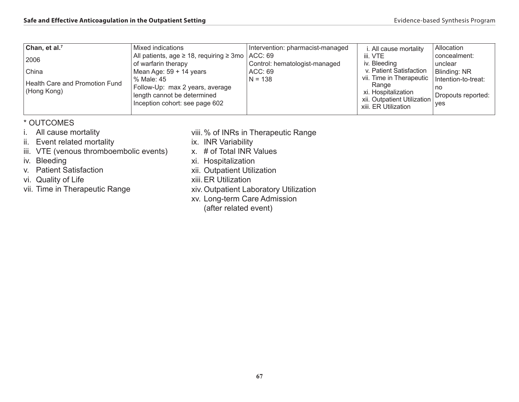| Mixed indications | Intervention: pharmacist-managed                                                                                                                                 | i. All cause mortality                                                                                                     | <b>Allocation</b>                                                                                                                  |
|-------------------|------------------------------------------------------------------------------------------------------------------------------------------------------------------|----------------------------------------------------------------------------------------------------------------------------|------------------------------------------------------------------------------------------------------------------------------------|
|                   |                                                                                                                                                                  | iii. VTE                                                                                                                   | concealment:                                                                                                                       |
|                   |                                                                                                                                                                  |                                                                                                                            | unclear                                                                                                                            |
|                   |                                                                                                                                                                  |                                                                                                                            | Blinding: NR                                                                                                                       |
|                   |                                                                                                                                                                  |                                                                                                                            | Intention-to-treat:                                                                                                                |
|                   |                                                                                                                                                                  |                                                                                                                            | no                                                                                                                                 |
|                   |                                                                                                                                                                  |                                                                                                                            | Dropouts reported:                                                                                                                 |
|                   |                                                                                                                                                                  | xiii. ER Utilization                                                                                                       | <b>ves</b>                                                                                                                         |
|                   | of warfarin therapy<br>Mean Age: 59 + 14 years<br>% Male: 45<br>Follow-Up: max 2 years, average<br>length cannot be determined<br>Inception cohort: see page 602 | All patients, age $\geq$ 18, requiring $\geq$ 3mo $\vert$ ACC: 69<br>Control: hematologist-managed<br>ACC: 69<br>$N = 138$ | iv. Bleeding<br>v. Patient Satisfaction<br>vii. Time in Therapeutic<br>Range<br>xi. Hospitalization<br>xii. Outpatient Utilization |

## \* OUTCOMES

- i. All cause mortality
- ii. Event related mortality
- iii. VTE (venous thromboembolic events)
- iv. Bleeding
- v. Patient Satisfaction
- vi. Quality of Life
- vii. Time in Therapeutic Range
- viii.% of INRs in Therapeutic Range
- ix. INR Variability
- x. # of Total INR Values
- xi. Hospitalization
- xii. Outpatient Utilization
- xiii.ER Utilization
- xiv. Outpatient Laboratory Utilization
- xv. Long-term Care Admission
	- (after related event)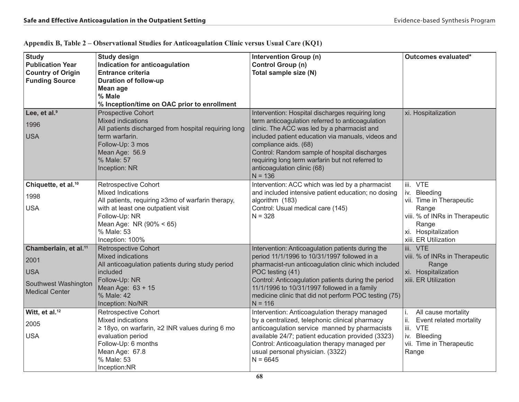| <b>Study</b><br><b>Publication Year</b><br><b>Country of Origin</b><br><b>Funding Source</b>             | <b>Study design</b><br>Indication for anticoagulation<br><b>Entrance criteria</b><br><b>Duration of follow-up</b><br>Mean age                                                                                                   | Intervention Group (n)<br><b>Control Group (n)</b><br>Total sample size (N)                                                                                                                                                                                                                                                                                                         | Outcomes evaluated*                                                                                                                                     |
|----------------------------------------------------------------------------------------------------------|---------------------------------------------------------------------------------------------------------------------------------------------------------------------------------------------------------------------------------|-------------------------------------------------------------------------------------------------------------------------------------------------------------------------------------------------------------------------------------------------------------------------------------------------------------------------------------------------------------------------------------|---------------------------------------------------------------------------------------------------------------------------------------------------------|
|                                                                                                          | % Male<br>% Inception/time on OAC prior to enrollment                                                                                                                                                                           |                                                                                                                                                                                                                                                                                                                                                                                     |                                                                                                                                                         |
| Lee, et al. <sup>9</sup><br>1996<br><b>USA</b>                                                           | <b>Prospective Cohort</b><br><b>Mixed indications</b><br>All patients discharged from hospital requiring long<br>term warfarin.<br>Follow-Up: 3 mos<br>Mean Age: 56.9<br>% Male: 57<br>Inception: NR                            | Intervention: Hospital discharges requiring long<br>term anticoagulation referred to anticoagulation<br>clinic. The ACC was led by a pharmacist and<br>included patient education via manuals, videos and<br>compliance aids. (68)<br>Control: Random sample of hospital discharges<br>requiring long term warfarin but not referred to<br>anticoagulation clinic (68)<br>$N = 136$ | xi. Hospitalization                                                                                                                                     |
| Chiquette, et al. <sup>10</sup><br>1998<br><b>USA</b>                                                    | <b>Retrospective Cohort</b><br><b>Mixed Indications</b><br>All patients, requiring ≥3mo of warfarin therapy,<br>with at least one outpatient visit<br>Follow-Up: NR<br>Mean Age: NR (90% < 65)<br>% Male: 53<br>Inception: 100% | Intervention: ACC which was led by a pharmacist<br>and included intensive patient education; no dosing<br>algorithm (183)<br>Control: Usual medical care (145)<br>$N = 328$                                                                                                                                                                                                         | iii. VTE<br>iv. Bleeding<br>vii. Time in Therapeutic<br>Range<br>viii. % of INRs in Therapeutic<br>Range<br>xi. Hospitalization<br>xiii. ER Utilization |
| Chamberlain, et al. <sup>11</sup><br>2001<br><b>USA</b><br>Southwest Washington<br><b>Medical Center</b> | <b>Retrospective Cohort</b><br><b>Mixed indications</b><br>All anticoagulation patients during study period<br>included<br>Follow-Up: NR<br>Mean Age: 63 + 15<br>% Male: 42<br>Inception: No/NR                                 | Intervention: Anticoagulation patients during the<br>period 11/1/1996 to 10/31/1997 followed in a<br>pharmacist-run anticoagulation clinic which included<br>POC testing (41)<br>Control: Anticoagulation patients during the period<br>11/1/1996 to 10/31/1997 followed in a family<br>medicine clinic that did not perform POC testing (75)<br>$N = 116$                          | iii. VTE<br>viii. % of INRs in Therapeutic<br>Range<br>xi. Hospitalization<br>xiii. ER Utilization                                                      |
| Witt, et al. <sup>12</sup><br>2005<br><b>USA</b>                                                         | <b>Retrospective Cohort</b><br>Mixed indications<br>≥ 18yo, on warfarin, ≥2 INR values during 6 mo<br>evaluation period<br>Follow-Up: 6 months<br>Mean Age: 67.8<br>% Male: 53<br>Inception:NR                                  | Intervention: Anticoagulation therapy managed<br>by a centralized, telephonic clinical pharmacy<br>anticoagulation service manned by pharmacists<br>available 24/7; patient education provided (3323)<br>Control: Anticoagulation therapy managed per<br>usual personal physician. (3322)<br>$N = 6645$                                                                             | All cause mortality<br>İ.<br>Event related mortality<br>ii.<br>iii. VTE<br>iv. Bleeding<br>vii. Time in Therapeutic<br>Range                            |

### **Appendix B, Table 2 – Observational Studies for Anticoagulation Clinic versus Usual Care (KQ1)**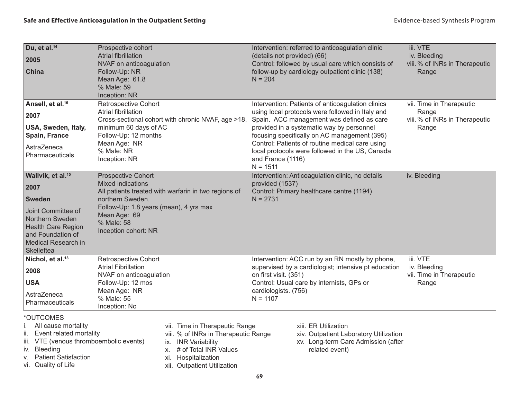| Du, et al. <sup>14</sup><br>2005<br>China                                                                                                                                              | Prospective cohort<br><b>Atrial fibrillation</b><br>NVAF on anticoagulation<br>Follow-Up: NR<br>Mean Age: 61.8<br>% Male: 59<br>Inception: NR                                                                                     | Intervention: referred to anticoagulation clinic<br>(details not provided) (66)<br>Control: followed by usual care which consists of<br>follow-up by cardiology outpatient clinic (138)<br>$N = 204$                                                                                                                                                                                     | iii. VTE<br>iv. Bleeding<br>viii. % of INRs in Therapeutic<br>Range          |
|----------------------------------------------------------------------------------------------------------------------------------------------------------------------------------------|-----------------------------------------------------------------------------------------------------------------------------------------------------------------------------------------------------------------------------------|------------------------------------------------------------------------------------------------------------------------------------------------------------------------------------------------------------------------------------------------------------------------------------------------------------------------------------------------------------------------------------------|------------------------------------------------------------------------------|
| Ansell, et al. <sup>16</sup><br>2007<br>USA, Sweden, Italy,<br>Spain, France<br>AstraZeneca<br>Pharmaceuticals                                                                         | <b>Retrospective Cohort</b><br><b>Atrial fibrillation</b><br>Cross-sectional cohort with chronic NVAF, age >18,<br>minimum 60 days of AC<br>Follow-Up: 12 months<br>Mean Age: NR<br>% Male: NR<br>Inception: NR                   | Intervention: Patients of anticoagulation clinics<br>using local protocols were followed in Italy and<br>Spain. ACC management was defined as care<br>provided in a systematic way by personnel<br>focusing specifically on AC management (395)<br>Control: Patients of routine medical care using<br>local protocols were followed in the US, Canada<br>and France (1116)<br>$N = 1511$ | vii. Time in Therapeutic<br>Range<br>viii. % of INRs in Therapeutic<br>Range |
| Wallvik, et al. <sup>15</sup><br>2007<br><b>Sweden</b><br>Joint Committee of<br>Northern Sweden<br><b>Health Care Region</b><br>and Foundation of<br>Medical Research in<br>Skelleftea | <b>Prospective Cohort</b><br><b>Mixed indications</b><br>All patients treated with warfarin in two regions of<br>northern Sweden.<br>Follow-Up: 1.8 years (mean), 4 yrs max<br>Mean Age: 69<br>% Male: 58<br>Inception cohort: NR | Intervention: Anticoagulation clinic, no details<br>provided (1537)<br>Control: Primary healthcare centre (1194)<br>$N = 2731$                                                                                                                                                                                                                                                           | iv. Bleeding                                                                 |
| Nichol, et al. <sup>13</sup><br>2008<br><b>USA</b><br>AstraZeneca<br>Pharmaceuticals                                                                                                   | <b>Retrospective Cohort</b><br><b>Atrial Fibrillation</b><br>NVAF on anticoagulation<br>Follow-Up: 12 mos<br>Mean Age: NR<br>% Male: 55<br>Inception: No                                                                          | Intervention: ACC run by an RN mostly by phone,<br>supervised by a cardiologist; intensive pt education<br>on first visit. (351)<br>Control: Usual care by internists, GPs or<br>cardiologists. (756)<br>$N = 1107$                                                                                                                                                                      | iii. VTE<br>iv. Bleeding<br>vii. Time in Therapeutic<br>Range                |

\*OUTCOMES

- i. All cause mortality
- ii. Event related mortality
- iii. VTE (venous thromboembolic events)
- iv. Bleeding
- v. Patient Satisfaction
- vi. Quality of Life
- vii. Time in Therapeutic Range
- viii. % of INRs in Therapeutic Range
- ix. INR Variability
- x. # of Total INR Values
- xi. Hospitalization
- xii. Outpatient Utilization
- xiii. ER Utilization
- xiv. Outpatient Laboratory Utilization
- xv. Long-term Care Admission (after related event)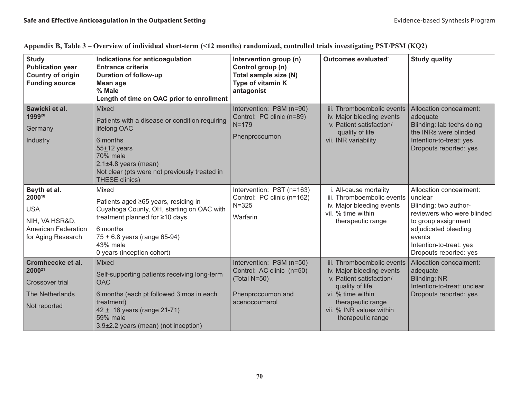| <b>Study</b><br><b>Publication year</b><br><b>Country of origin</b><br><b>Funding source</b>               | Indications for anticoagulation<br><b>Entrance criteria</b><br><b>Duration of follow-up</b><br>Mean age<br>% Male<br>Length of time on OAC prior to enrollment                                                              | Intervention group (n)<br>Control group (n)<br>Total sample size (N)<br>Type of vitamin K<br>antagonist     | Outcomes evaluated*                                                                                                                                                                               | <b>Study quality</b>                                                                                                                                                                                    |
|------------------------------------------------------------------------------------------------------------|-----------------------------------------------------------------------------------------------------------------------------------------------------------------------------------------------------------------------------|-------------------------------------------------------------------------------------------------------------|---------------------------------------------------------------------------------------------------------------------------------------------------------------------------------------------------|---------------------------------------------------------------------------------------------------------------------------------------------------------------------------------------------------------|
| Sawicki et al.<br>199920<br>Germany<br>Industry                                                            | <b>Mixed</b><br>Patients with a disease or condition requiring<br>lifelong OAC<br>6 months<br>$55 + 12$ years<br>70% male<br>$2.1\pm4.8$ years (mean)<br>Not clear (pts were not previously treated in<br>THESE clinics)    | Intervention: PSM (n=90)<br>Control: PC clinic (n=89)<br>$N = 179$<br>Phenprocoumon                         | iii. Thromboembolic events<br>iv. Major bleeding events<br>v. Patient satisfaction/<br>quality of life<br>vii. INR variability                                                                    | Allocation concealment:<br>adequate<br>Blinding: lab techs doing<br>the INRs were blinded<br>Intention-to-treat: yes<br>Dropouts reported: yes                                                          |
| Beyth et al.<br>200018<br><b>USA</b><br>NIH, VA HSR&D,<br><b>American Federation</b><br>for Aging Research | Mixed<br>Patients aged ≥65 years, residing in<br>Cuyahoga County, OH, starting on OAC with<br>treatment planned for ≥10 days<br>6 months<br>$75 \pm 6.8$ years (range 65-94)<br>43% male<br>0 years (inception cohort)      | Intervention: PST (n=163)<br>Control: PC clinic (n=162)<br>$N = 325$<br>Warfarin                            | i. All-cause mortality<br>iii. Thromboembolic events<br>iv. Major bleeding events<br>vil. % time within<br>therapeutic range                                                                      | Allocation concealment:<br>unclear<br>Blinding: two author-<br>reviewers who were blinded<br>to group assignment<br>adjudicated bleeding<br>events<br>Intention-to-treat: yes<br>Dropouts reported: yes |
| Cromheecke et al.<br>2000 <sup>21</sup><br>Crossover trial<br><b>The Netherlands</b><br>Not reported       | Mixed<br>Self-supporting patients receiving long-term<br><b>OAC</b><br>6 months (each pt followed 3 mos in each<br>treatment)<br>$42 \pm 16$ years (range 21-71)<br><b>59% male</b><br>3.9±2.2 years (mean) (not inception) | Intervention: PSM (n=50)<br>Control: AC clinic (n=50)<br>(Total N=50)<br>Phenprocoumon and<br>acenocoumarol | iii. Thromboembolic events<br>iv. Major bleeding events<br>v. Patient satisfaction/<br>quality of life<br>vi. % time within<br>therapeutic range<br>vii. % INR values within<br>therapeutic range | Allocation concealment:<br>adequate<br><b>Blinding: NR</b><br>Intention-to-treat: unclear<br>Dropouts reported: yes                                                                                     |

**Appendix B, Table 3 – Overview of individual short-term (<12 months) randomized, controlled trials investigating PST/PSM (KQ2)**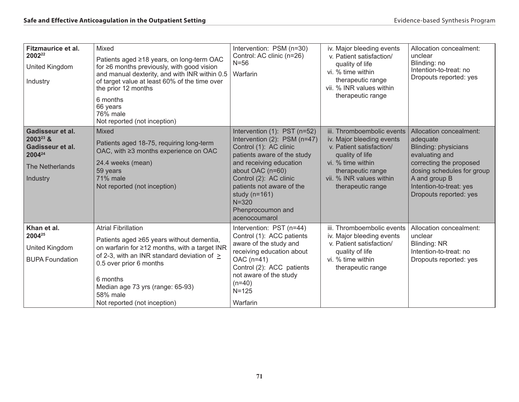| Fitzmaurice et al.<br>2002 <sup>22</sup><br>United Kingdom<br>Industry                                            | Mixed<br>Patients aged ≥18 years, on long-term OAC<br>for ≥6 months previously, with good vision<br>and manual dexterity, and with INR within 0.5<br>of target value at least 60% of the time over<br>the prior 12 months<br>6 months<br>66 years<br>76% male<br>Not reported (not inception)       | Intervention: PSM (n=30)<br>Control: AC clinic (n=26)<br>$N=56$<br>Warfarin                                                                                                                                                                                                                         | iv. Major bleeding events<br>v. Patient satisfaction/<br>quality of life<br>vi. % time within<br>therapeutic range<br>vii. % INR values within<br>therapeutic range                               | Allocation concealment:<br>unclear<br>Blinding: no<br>Intention-to-treat: no<br>Dropouts reported: yes                                                                                                              |
|-------------------------------------------------------------------------------------------------------------------|-----------------------------------------------------------------------------------------------------------------------------------------------------------------------------------------------------------------------------------------------------------------------------------------------------|-----------------------------------------------------------------------------------------------------------------------------------------------------------------------------------------------------------------------------------------------------------------------------------------------------|---------------------------------------------------------------------------------------------------------------------------------------------------------------------------------------------------|---------------------------------------------------------------------------------------------------------------------------------------------------------------------------------------------------------------------|
| Gadisseur et al.<br>2003 <sup>23</sup> &<br>Gadisseur et al.<br>2004 <sup>24</sup><br>The Netherlands<br>Industry | Mixed<br>Patients aged 18-75, requiring long-term<br>OAC, with ≥3 months experience on OAC<br>24.4 weeks (mean)<br>59 years<br><b>71% male</b><br>Not reported (not inception)                                                                                                                      | Intervention (1): PST (n=52)<br>Intervention (2): PSM (n=47)<br>Control (1): AC clinic<br>patients aware of the study<br>and receiving education<br>about OAC (n=60)<br>Control (2): AC clinic<br>patients not aware of the<br>study ( $n=161$ )<br>$N = 320$<br>Phenprocoumon and<br>acenocoumarol | iii. Thromboembolic events<br>iv. Major bleeding events<br>v. Patient satisfaction/<br>quality of life<br>vi. % time within<br>therapeutic range<br>vii. % INR values within<br>therapeutic range | Allocation concealment:<br>adequate<br><b>Blinding: physicians</b><br>evaluating and<br>correcting the proposed<br>dosing schedules for group<br>A and group B<br>Intention-to-treat: yes<br>Dropouts reported: yes |
| Khan et al.<br>2004 <sup>25</sup><br>United Kingdom<br><b>BUPA Foundation</b>                                     | <b>Atrial Fibrillation</b><br>Patients aged ≥65 years without dementia,<br>on warfarin for ≥12 months, with a target INR<br>of 2-3, with an INR standard deviation of $\geq$<br>0.5 over prior 6 months<br>6 months<br>Median age 73 yrs (range: 65-93)<br>58% male<br>Not reported (not inception) | Intervention: PST (n=44)<br>Control (1): ACC patients<br>aware of the study and<br>receiving education about<br>OAC (n=41)<br>Control (2): ACC patients<br>not aware of the study<br>$(n=40)$<br>$N = 125$<br>Warfarin                                                                              | iii. Thromboembolic events<br>iv. Major bleeding events<br>v. Patient satisfaction/<br>quality of life<br>vi. % time within<br>therapeutic range                                                  | Allocation concealment:<br>unclear<br><b>Blinding: NR</b><br>Intention-to-treat: no<br>Dropouts reported: yes                                                                                                       |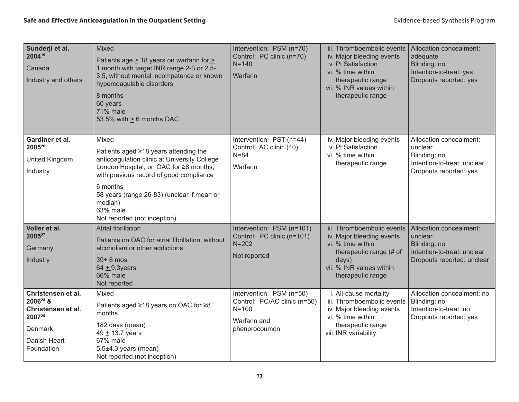| Sunderji et al.<br>200419<br>Canada<br>Industry and others                                                          | Mixed<br>Patients age $\geq$ 18 years on warfarin for $\geq$<br>1 month with target INR range 2-3 or 2.5-<br>3.5, without mental incompetence or known<br>hypercoagulable disorders<br>8 months<br>60 years<br><b>71% male</b><br>53.5% with $\geq 6$ months OAC                                     | Intervention: PSM (n=70)<br>Control: PC clinic (n=70)<br>$N = 140$<br>Warfarin                         | iii. Thromboembolic events<br>iv. Major bleeding events<br>v. Pt Satisfaction<br>vi. % time within<br>therapeutic range<br>vii. % INR values within<br>therapeutic range | Allocation concealment:<br>adequate<br>Blinding: no<br>Intention-to-treat: yes<br>Dropouts reported: yes        |
|---------------------------------------------------------------------------------------------------------------------|------------------------------------------------------------------------------------------------------------------------------------------------------------------------------------------------------------------------------------------------------------------------------------------------------|--------------------------------------------------------------------------------------------------------|--------------------------------------------------------------------------------------------------------------------------------------------------------------------------|-----------------------------------------------------------------------------------------------------------------|
| Gardiner et al.<br>200526<br>United Kingdom<br>Industry                                                             | Mixed<br>Patients aged ≥18 years attending the<br>anticoagulation clinic at University College<br>London Hospital, on OAC for ≥8 months,<br>with previous record of good compliance<br>6 months<br>58 years (range 26-83) (unclear if mean or<br>median)<br>63% male<br>Not reported (not inception) | Intervention: PST (n=44)<br>Control: AC clinic (40)<br>$N = 84$<br>Warfarin                            | iv. Major bleeding events<br>v. Pt Satisfaction<br>vi. % time within<br>therapeutic range                                                                                | Allocation concealment:<br>unclear<br>Blinding: no<br>Intention-to-treat: unclear<br>Dropouts reported: yes     |
| Voller et al.<br>200527<br>Germany<br>Industry                                                                      | <b>Atrial fibrillation</b><br>Patients on OAC for atrial fibrillation, without<br>alcoholism or other addictions<br>$39+6$ mos<br>$64 + 9.3$ years<br>66% male<br>Not reported                                                                                                                       | Intervention: PSM (n=101)<br>Control: PC clinic (n=101)<br>$N = 202$<br>Not reported                   | iii. Thromboembolic events<br>iv. Major bleeding events<br>vi. % time within<br>therapeutic range (# of<br>days)<br>vii. % INR values within<br>therapeutic range        | Allocation concealment:<br>unclear<br>Blinding: no<br>Intention-to-treat: unclear<br>Dropouts reported: unclear |
| Christensen et al.<br>2006 <sup>28</sup> &<br>Christensen et al.<br>200729<br>Denmark<br>Danish Heart<br>Foundation | Mixed<br>Patients aged ≥18 years on OAC for ≥8<br>months<br>182 days (mean)<br>49 ± 13.7 years<br>67% male<br>$5.5\pm4.3$ years (mean)<br>Not reported (not inception)                                                                                                                               | Intervention: PSM (n=50)<br>Control: PC/AC clinic (n=50)<br>$N = 100$<br>Warfarin and<br>phenprocoumon | i. All-cause mortality<br>iii. Thromboembolic events<br>iv. Major bleeding events<br>vi. % time within<br>therapeutic range<br>viii. INR variability                     | Allocation concealment: no<br>Blinding: no<br>Intention-to-treat: no<br>Dropouts reported: yes                  |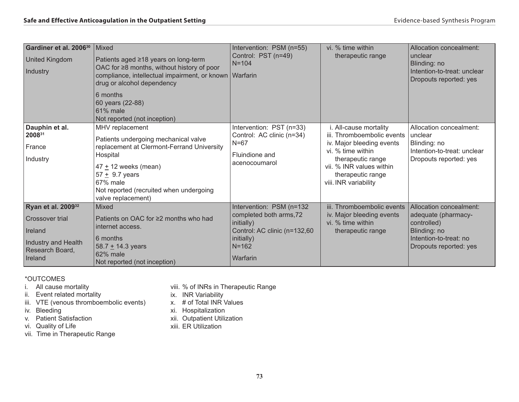| Gardiner et al. 2006 <sup>30</sup><br><b>United Kingdom</b><br>Industry                                                  | <b>Mixed</b><br>Patients aged ≥18 years on long-term<br>OAC for ≥8 months, without history of poor<br>compliance, intellectual impairment, or known   Warfarin<br>drug or alcohol dependency<br>6 months<br>60 years (22-88)                   | Intervention: PSM (n=55)<br>Control: PST (n=49)<br>$N = 104$                                                                             | vi. % time within<br>therapeutic range                                                                                                                                                                | Allocation concealment:<br>unclear<br>Blinding: no<br>Intention-to-treat: unclear<br>Dropouts reported: yes                       |
|--------------------------------------------------------------------------------------------------------------------------|------------------------------------------------------------------------------------------------------------------------------------------------------------------------------------------------------------------------------------------------|------------------------------------------------------------------------------------------------------------------------------------------|-------------------------------------------------------------------------------------------------------------------------------------------------------------------------------------------------------|-----------------------------------------------------------------------------------------------------------------------------------|
|                                                                                                                          | 61% male<br>Not reported (not inception)                                                                                                                                                                                                       |                                                                                                                                          |                                                                                                                                                                                                       |                                                                                                                                   |
| Dauphin et al.<br>200831<br>France<br>Industry                                                                           | MHV replacement<br>Patients undergoing mechanical valve<br>replacement at Clermont-Ferrand University<br>Hospital<br>$47 \pm 12$ weeks (mean)<br>$57 + 9.7$ years<br>67% male<br>Not reported (recruited when undergoing<br>valve replacement) | Intervention: PST (n=33)<br>Control: AC clinic (n=34)<br>$N=67$<br>Fluindione and<br>acenocoumarol                                       | i. All-cause mortality<br>iii. Thromboembolic events<br>iv. Major bleeding events<br>vi. % time within<br>therapeutic range<br>vii. % INR values within<br>therapeutic range<br>viii. INR variability | Allocation concealment:<br>unclear<br>Blinding: no<br>Intention-to-treat: unclear<br>Dropouts reported: yes                       |
| Ryan et al. 2009 <sup>32</sup><br><b>Crossover trial</b><br>Ireland<br>Industry and Health<br>Research Board,<br>Ireland | Mixed<br>Patients on OAC for ≥2 months who had<br>internet access.<br>6 months<br>58.7 $+$ 14.3 years<br>62% male<br>Not reported (not inception)                                                                                              | Intervention: PSM (n=132<br>completed both arms, 72<br>initially)<br>Control: AC clinic (n=132,60<br>initially)<br>$N = 162$<br>Warfarin | iii. Thromboembolic events<br>iv. Major bleeding events<br>vi. % time within<br>therapeutic range                                                                                                     | Allocation concealment:<br>adequate (pharmacy-<br>controlled)<br>Blinding: no<br>Intention-to-treat: no<br>Dropouts reported: yes |

#### \*OUTCOMES

i. All cause mortality

- ii. Event related mortality
- iii. VTE (venous thromboembolic events)
- iv. Bleeding
- v. Patient Satisfaction
- vi. Quality of Life
- vii. Time in Therapeutic Range
- viii. % of INRs in Therapeutic Range
- ix. INR Variability
- x. # of Total INR Values
- xi. Hospitalization
- xii. Outpatient Utilization
- xiii. ER Utilization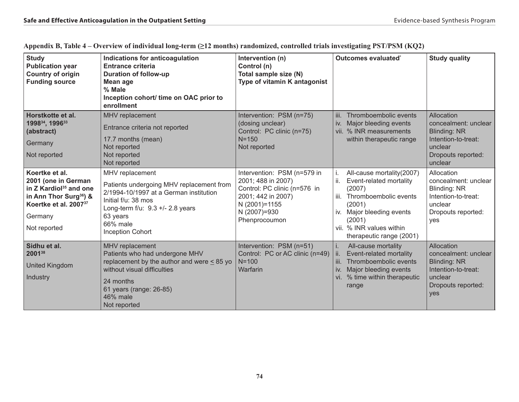| <b>Study</b><br><b>Publication year</b><br><b>Country of origin</b><br><b>Funding source</b>                                                                                      | Indications for anticoagulation<br><b>Entrance criteria</b><br><b>Duration of follow-up</b><br><b>Mean age</b><br>% Male<br>Inception cohort/ time on OAC prior to<br>enrollment                                    | Intervention (n)<br>Control (n)<br>Total sample size (N)<br>Type of vitamin K antagonist                                                                  | Outcomes evaluated*                                                                                                                                                                                             | <b>Study quality</b>                                                                                                         |
|-----------------------------------------------------------------------------------------------------------------------------------------------------------------------------------|---------------------------------------------------------------------------------------------------------------------------------------------------------------------------------------------------------------------|-----------------------------------------------------------------------------------------------------------------------------------------------------------|-----------------------------------------------------------------------------------------------------------------------------------------------------------------------------------------------------------------|------------------------------------------------------------------------------------------------------------------------------|
| Horstkotte et al.<br>199834, 199633<br>(abstract)<br>Germany<br>Not reported                                                                                                      | MHV replacement<br>Entrance criteria not reported<br>17.7 months (mean)<br>Not reported<br>Not reported<br>Not reported                                                                                             | Intervention: PSM (n=75)<br>(dosing unclear)<br>Control: PC clinic (n=75)<br>$N = 150$<br>Not reported                                                    | Thromboembolic events<br>iii.<br>iv.<br>Major bleeding events<br>vii. % INR measurements<br>within therapeutic range                                                                                            | Allocation<br>concealment: unclear<br><b>Blinding: NR</b><br>Intention-to-treat:<br>unclear<br>Dropouts reported:<br>unclear |
| Koertke et al.<br>2001 (one in German<br>in Z Kardiol <sup>35</sup> and one<br>in Ann Thor Surg <sup>36</sup> ) &<br>Koertke et al. 2007 <sup>37</sup><br>Germany<br>Not reported | MHV replacement<br>Patients undergoing MHV replacement from<br>2/1994-10/1997 at a German institution<br>Initial f/u: 38 mos<br>Long-term f/u: 9.3 +/- 2.8 years<br>63 years<br>66% male<br><b>Inception Cohort</b> | Intervention: PSM (n=579 in<br>2001; 488 in 2007)<br>Control: PC clinic (n=576 in<br>2001; 442 in 2007)<br>N (2001)=1155<br>N (2007)=930<br>Phenprocoumon | All-cause mortality(2007)<br>ii.<br>Event-related mortality<br>(2007)<br>iii.<br>Thromboembolic events<br>(2001)<br>iv. Major bleeding events<br>(2001)<br>vii. % INR values within<br>therapeutic range (2001) | Allocation<br>concealment: unclear<br>Blinding: NR<br>Intention-to-treat:<br>unclear<br>Dropouts reported:<br>yes            |
| Sidhu et al.<br>200138<br><b>United Kingdom</b><br>Industry                                                                                                                       | MHV replacement<br>Patients who had undergone MHV<br>replacement by the author and were $\leq$ 85 yo<br>without visual difficulties<br>24 months<br>61 years (range: 26-85)<br>46% male<br>Not reported             | Intervention: PSM (n=51)<br>Control: PC or AC clinic (n=49)<br>$N = 100$<br>Warfarin                                                                      | i.<br>All-cause mortality<br>Event-related mortality<br>Thromboembolic events<br>Ш.<br>Major bleeding events<br>iv.<br>vi. % time within therapeutic<br>range                                                   | Allocation<br>concealment: unclear<br><b>Blinding: NR</b><br>Intention-to-treat:<br>unclear<br>Dropouts reported:<br>yes     |

|  |  |  |  | Appendix B, Table 4 – Overview of individual long-term (≥12 months) randomized, controlled trials investigating PST/PSM (KQ2) |  |  |  |
|--|--|--|--|-------------------------------------------------------------------------------------------------------------------------------|--|--|--|
|  |  |  |  |                                                                                                                               |  |  |  |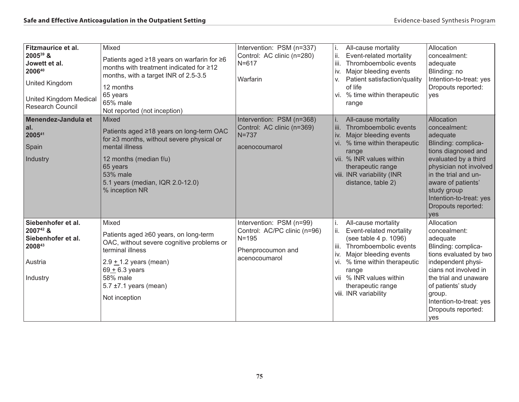| Fitzmaurice et al.<br>200539 &<br>Jowett et al.<br>200640<br>United Kingdom<br><b>United Kingdom Medical</b><br>Research Council | Mixed<br>Patients aged ≥18 years on warfarin for ≥6<br>months with treatment indicated for ≥12<br>months, with a target INR of 2.5-3.5<br>12 months<br>65 years<br>65% male<br>Not reported (not inception)                | Intervention: PSM (n=337)<br>Control: AC clinic (n=280)<br>$N = 617$<br>Warfarin                            | All-cause mortality<br>Event-related mortality<br>Thromboembolic events<br>iii.<br>Major bleeding events<br>iv.<br>Patient satisfaction/quality<br>V.<br>of life<br>vi. % time within therapeutic<br>range                                                               | Allocation<br>concealment:<br>adequate<br>Blinding: no<br>Intention-to-treat: yes<br>Dropouts reported:<br>yes                                                                                                                                              |
|----------------------------------------------------------------------------------------------------------------------------------|----------------------------------------------------------------------------------------------------------------------------------------------------------------------------------------------------------------------------|-------------------------------------------------------------------------------------------------------------|--------------------------------------------------------------------------------------------------------------------------------------------------------------------------------------------------------------------------------------------------------------------------|-------------------------------------------------------------------------------------------------------------------------------------------------------------------------------------------------------------------------------------------------------------|
| Menendez-Jandula et<br>al.<br>200541<br>Spain<br>Industry                                                                        | Mixed<br>Patients aged ≥18 years on long-term OAC<br>for ≥3 months, without severe physical or<br>mental illness<br>12 months (median f/u)<br>65 years<br>53% male<br>5.1 years (median, IQR 2.0-12.0)<br>% inception NR   | Intervention: PSM (n=368)<br>Control: AC clinic (n=369)<br>$N=737$<br>acenocoumarol                         | All-cause mortality<br>iii.<br>Thromboembolic events<br>Major bleeding events<br>iv.<br>vi. % time within therapeutic<br>range<br>vii. % INR values within<br>therapeutic range<br>viii. INR variability (INR<br>distance, table 2)                                      | Allocation<br>concealment:<br>adequate<br>Blinding: complica-<br>tions diagnosed and<br>evaluated by a third<br>physician not involved<br>in the trial and un-<br>aware of patients'<br>study group<br>Intention-to-treat: yes<br>Dropouts reported:<br>yes |
| Siebenhofer et al.<br>200742 &<br>Siebenhofer et al.<br>200843<br>Austria<br>Industry                                            | Mixed<br>Patients aged ≥60 years, on long-term<br>OAC, without severe cognitive problems or<br>terminal illness<br>$2.9 + 1.2$ years (mean)<br>$69 + 6.3$ years<br>58% male<br>5.7 $\pm$ 7.1 years (mean)<br>Not inception | Intervention: PSM (n=99)<br>Control: AC/PC clinic (n=96)<br>$N = 195$<br>Phenprocoumon and<br>acenocoumarol | All-cause mortality<br>i.<br>Event-related mortality<br>ii.<br>(see table 4 p. 1096)<br>Thromboembolic events<br>iii.<br>Major bleeding events<br>iv.<br>vi. % time within therapeutic<br>range<br>vii % INR values within<br>therapeutic range<br>viii. INR variability | Allocation<br>concealment:<br>adequate<br>Blinding: complica-<br>tions evaluated by two<br>independent physi-<br>cians not involved in<br>the trial and unaware<br>of patients' study<br>group.<br>Intention-to-treat: yes<br>Dropouts reported:<br>yes     |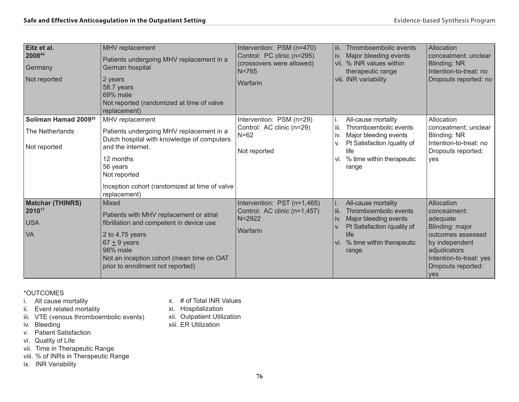| Eitz et al.<br>200844<br>Germany<br>Not reported                    | <b>MHV</b> replacement<br>Patients undergoing MHV replacement in a<br>German hospital<br>2 years<br>58.7 years<br>69% male<br>Not reported (randomized at time of valve<br>replacement)                                                  | Intervention: PSM (n=470)<br>Control: PC clinic (n=295)<br>(crossovers were allowed)<br>$N = 765$<br>Warfarin | iii. Thromboembolic events<br>iv. Major bleeding events<br>vii. % INR values within<br>therapeutic range<br>viii. INR variability                                                 | Allocation<br>concealment: unclear<br><b>Blinding: NR</b><br>Intention-to-treat: no<br>Dropouts reported: no                                                             |
|---------------------------------------------------------------------|------------------------------------------------------------------------------------------------------------------------------------------------------------------------------------------------------------------------------------------|---------------------------------------------------------------------------------------------------------------|-----------------------------------------------------------------------------------------------------------------------------------------------------------------------------------|--------------------------------------------------------------------------------------------------------------------------------------------------------------------------|
| Soliman Hamad 2009 <sup>45</sup><br>The Netherlands<br>Not reported | MHV replacement<br>Patients undergoing MHV replacement in a<br>Dutch hospital with knowledge of computers<br>and the internet.<br>12 months<br>56 years<br>Not reported<br>Inception cohort (randomized at time of valve<br>replacement) | Intervention: PSM (n=29)<br>Control: AC clinic (n=29)<br>$N=62$<br>Not reported                               | All-cause mortality<br>Ť.<br>iii.<br>Thromboembolic events<br>Major bleeding events<br>İV.<br>Pt Satisfaction /quality of<br>V.<br>life<br>vi. % time within therapeutic<br>range | Allocation<br>concealment: unclear<br><b>Blinding: NR</b><br>Intention-to-treat: no<br>Dropouts reported:<br>ves                                                         |
| <b>Matchar (THINRS)</b><br>201017<br><b>USA</b><br><b>VA</b>        | Mixed<br>Patients with MHV replacement or atrial<br>fibrillation and competent in device use<br>2 to 4.75 years<br>$67 + 9$ years<br>98% male<br>Not an inception cohort (mean time on OAT<br>prior to enrollment not reported)          | Intervention: PST (n=1,465)<br>Control: AC clinic (n=1,457)<br>$N = 2922$<br>Warfarin                         | All-cause mortality<br>l iii.<br>Thromboembolic events<br>Major bleeding events<br>l iv.<br>Pt Satisfaction /quality of<br>V.<br>life<br>vi. % time within therapeutic<br>range   | Allocation<br>concealment:<br>adequate<br>Blinding: major<br>outcomes assessed<br>by independent<br>adjudicators<br>Intention-to-treat: yes<br>Dropouts reported:<br>yes |

\*OUTCOMES

- i. All cause mortality
- ii. Event related mortality
- iii. VTE (venous thromboembolic events)
- iv. Bleeding
- v. Patient Satisfaction
- vi. Quality of Life
- vii. Time in Therapeutic Range
- viii. % of INRs in Therapeutic Range
- ix. INR Variability
- x. # of Total INR Values
- xi. Hospitalization
- xii. Outpatient Utilization
- xiii. ER Utilization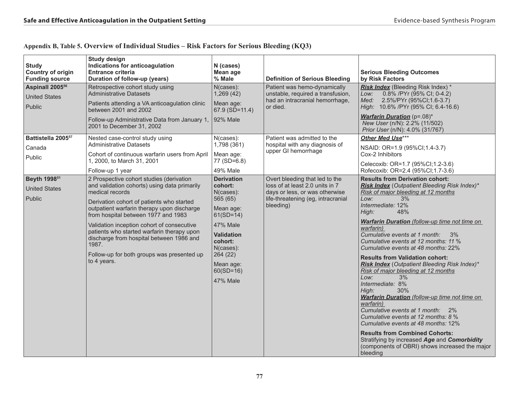| <b>Study</b><br><b>Country of origin</b><br><b>Funding source</b> | <b>Study design</b><br>Indications for anticoagulation<br><b>Entrance criteria</b><br>Duration of follow-up (years)                                                                                                                                                                                                                                                                                                                                         | N (cases)<br>Mean age<br>% Male                                                                                                                                                                                | <b>Definition of Serious Bleeding</b>                                                                                                                  | <b>Serious Bleeding Outcomes</b><br>by Risk Factors                                                                                                                                                                                                                                                                                                                                                                                                                                                                                                                                                                                                                                                                                                                                                                                                                                                   |
|-------------------------------------------------------------------|-------------------------------------------------------------------------------------------------------------------------------------------------------------------------------------------------------------------------------------------------------------------------------------------------------------------------------------------------------------------------------------------------------------------------------------------------------------|----------------------------------------------------------------------------------------------------------------------------------------------------------------------------------------------------------------|--------------------------------------------------------------------------------------------------------------------------------------------------------|-------------------------------------------------------------------------------------------------------------------------------------------------------------------------------------------------------------------------------------------------------------------------------------------------------------------------------------------------------------------------------------------------------------------------------------------------------------------------------------------------------------------------------------------------------------------------------------------------------------------------------------------------------------------------------------------------------------------------------------------------------------------------------------------------------------------------------------------------------------------------------------------------------|
| Aspinall 2005 <sup>56</sup><br><b>United States</b><br>Public     | Retrospective cohort study using<br><b>Administrative Datasets</b><br>Patients attending a VA anticoagulation clinic<br>between 2001 and 2002<br>Follow-up Administrative Data from January 1,<br>2001 to December 31, 2002                                                                                                                                                                                                                                 | $N$ (cases):<br>1,269(42)<br>Mean age:<br>$67.9$ ( $SD=11.4$ )<br>92% Male                                                                                                                                     | Patient was hemo-dynamically<br>unstable, required a transfusion,<br>had an intracranial hemorrhage,<br>or died.                                       | <b>Risk Index</b> (Bleeding Risk Index) *<br>0.8% / PYr (95% CI; 0-4.2)<br>Low:<br>2.5%/PYr (95%CI;1.6-3.7)<br>Med:<br>High: 10.6% / PYr (95% CI; 6.4-16.6)<br><b>Warfarin Duration</b> (p=.08)*<br>New User (n/N): 2.2% (11/502)<br>Prior User (n/N): 4.0% (31/767)                                                                                                                                                                                                                                                                                                                                                                                                                                                                                                                                                                                                                                  |
| Battistella 2005 <sup>57</sup><br>Canada<br>Public                | Nested case-control study using<br><b>Administrative Datasets</b><br>Cohort of continuous warfarin users from April<br>1, 2000, to March 31, 2001<br>Follow-up 1 year                                                                                                                                                                                                                                                                                       | N(cases):<br>1,798 (361)<br>Mean age:<br>$77 (SD=6.8)$<br>49% Male                                                                                                                                             | Patient was admitted to the<br>hospital with any diagnosis of<br>upper GI hemorrhage                                                                   | Other Med Use***<br>NSAID: OR=1.9 (95%CI;1.4-3.7)<br>Cox-2 Inhibitors<br>Celecoxib: OR=1.7 (95%Cl;1.2-3.6)<br>Rofecoxib: OR=2.4 (95%CI;1.7-3.6)                                                                                                                                                                                                                                                                                                                                                                                                                                                                                                                                                                                                                                                                                                                                                       |
| Beyth 1998 <sup>51</sup><br><b>United States</b><br>Public        | 2 Prospective cohort studies (derivation<br>and validation cohorts) using data primarily<br>medical records<br>Derivation cohort of patients who started<br>outpatient warfarin therapy upon discharge<br>from hospital between 1977 and 1983<br>Validation inception cohort of consecutive<br>patients who started warfarin therapy upon<br>discharge from hospital between 1986 and<br>1987.<br>Follow-up for both groups was presented up<br>to 4 years. | <b>Derivation</b><br>cohort:<br>$N$ (cases):<br>565 (65)<br>Mean age:<br>$61(SD=14)$<br><b>47% Male</b><br><b>Validation</b><br>cohort:<br>N(cases):<br>264(22)<br>Mean age:<br>$60(SD=16)$<br><b>47% Male</b> | Overt bleeding that led to the<br>loss of at least 2.0 units in 7<br>days or less, or was otherwise<br>life-threatening (eg, intracranial<br>bleeding) | <b>Results from Derivation cohort:</b><br>Risk Index (Outpatient Bleeding Risk Index)*<br>Risk of major bleeding at 12 months<br>3%<br>Low:<br>Intermediate: 12%<br>High:<br>48%<br>Warfarin Duration (follow-up time not time on<br>warfarin)<br>Cumulative events at 1 month:<br>3%<br>Cumulative events at 12 months: 11 %<br>Cumulative events at 48 months: 22%<br><b>Results from Validation cohort:</b><br><b>Risk Index</b> (Outpatient Bleeding Risk Index)*<br>Risk of major bleeding at 12 months<br>Low:<br>3%<br>Intermediate: 8%<br>High:<br>30%<br>Warfarin Duration (follow-up time not time on<br>warfarin)<br>Cumulative events at 1 month: 2%<br>Cumulative events at 12 months: 8 %<br>Cumulative events at 48 months: 12%<br><b>Results from Combined Cohorts:</b><br>Stratifying by increased Age and Comorbidity<br>(components of OBRI) shows increased the major<br>bleeding |

### **Appendix B, Table 5. Overview of Individual Studies – Risk Factors for Serious Bleeding (KQ3)**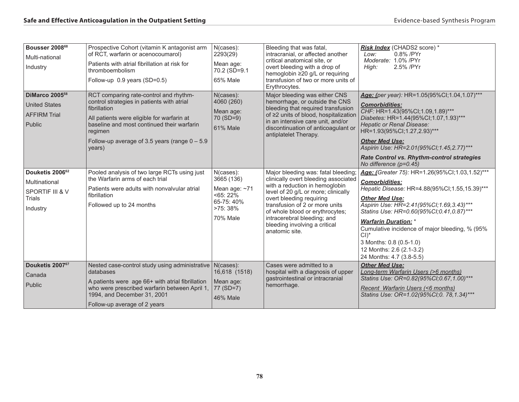| Bousser 200868<br>Multi-national<br>Industry                                        | Prospective Cohort (vitamin K antagonist arm<br>of RCT, warfarin or acenocoumarol)<br>Patients with atrial fibrillation at risk for<br>thromboembolism<br>Follow-up 0.9 years (SD=0.5)                                                                                     | N(cases):<br>2293(29)<br>Mean age:<br>70.2 (SD=9.1)<br>65% Male                             | Bleeding that was fatal,<br>intracranial, or affected another<br>critical anatomical site, or<br>overt bleeding with a drop of<br>hemoglobin ≥20 g/L or requiring<br>transfusion of two or more units of<br>Erythrocytes.                                                                                                               | Risk Index (CHADS2 score) *<br>0.8% / PYr<br>Low:<br>Moderate: 1.0% /PYr<br>High:<br>2.5% / PYr                                                                                                                                                                                                                                                                                                                          |
|-------------------------------------------------------------------------------------|----------------------------------------------------------------------------------------------------------------------------------------------------------------------------------------------------------------------------------------------------------------------------|---------------------------------------------------------------------------------------------|-----------------------------------------------------------------------------------------------------------------------------------------------------------------------------------------------------------------------------------------------------------------------------------------------------------------------------------------|--------------------------------------------------------------------------------------------------------------------------------------------------------------------------------------------------------------------------------------------------------------------------------------------------------------------------------------------------------------------------------------------------------------------------|
| DiMarco 2005 <sup>58</sup><br><b>United States</b><br><b>AFFIRM Trial</b><br>Public | RCT comparing rate-control and rhythm-<br>control strategies in patients with atrial<br>fibrillation<br>All patients were eligible for warfarin at<br>baseline and most continued their warfarin<br>regimen<br>Follow-up average of 3.5 years (range $0 - 5.9$ )<br>years) | N(cases):<br>4060 (260)<br>Mean age:<br>$70(SD=9)$<br><b>61% Male</b>                       | Major bleeding was either CNS<br>hemorrhage, or outside the CNS<br>bleeding that required transfusion<br>of ≥2 units of blood, hospitalization<br>in an intensive care unit, and/or<br>discontinuation of anticoagulant or<br>antiplatelet Therapy.                                                                                     | Age: (per year): HR=1.05(95%Cl;1.04,1.07)***<br><b>Comorbidities:</b><br>CHF: HR=1.43(95%CI;1.09,1.89)***<br>Diabetes: HR=1.44(95%Cl;1.07,1.93)***<br><b>Hepatic or Renal Disease:</b><br>HR=1.93(95%CI;1.27,2.93)***<br><b>Other Med Use:</b><br>Aspirin Use: HR=2.01(95%CI;1.45,2.77)***<br><b>Rate Control vs. Rhythm-control strategies</b><br>No difference $(p=0.45)$                                              |
| Douketis 200662<br>Multinational<br>SPORTIF III & V<br><b>Trials</b><br>Industry    | Pooled analysis of two large RCTs using just<br>the Warfarin arms of each trial<br>Patients were adults with nonvalvular atrial<br>fibrillation<br>Followed up to 24 months                                                                                                | N(cases):<br>3665 (136)<br>Mean age: $~1$<br>$55:22\%$<br>65-75:40%<br>>75: 38%<br>70% Male | Major bleeding was: fatal bleeding;<br>clinically overt bleeding associated<br>with a reduction in hemoglobin<br>level of 20 g/L or more; clinically<br>overt bleeding requiring<br>transfusion of 2 or more units<br>of whole blood or erythrocytes;<br>intracerebral bleeding; and<br>bleeding involving a critical<br>anatomic site. | Age: (Greater 75): HR=1.26(95%Cl;1.03,1.52)***<br><b>Comorbidities:</b><br>Hepatic Disease: HR=4.88(95%CI;1.55,15.39)***<br><b>Other Med Use:</b><br>Aspirin Use: HR=2.41(95%CI;1.69,3.43)***<br>Statins Use: HR=0.60(95%CI;0.41,0.87)***<br><b>Warfarin Duration: *</b><br>Cumulative incidence of major bleeding, % (95%)<br>$Cl^*$<br>3 Months: 0.8 (0.5-1.0)<br>12 Months: 2.6 (2.1-3.2)<br>24 Months: 4.7 (3.8-5.5) |
| Douketis 200767<br>Canada<br>Public                                                 | Nested case-control study using administrative   N(cases):<br>databases<br>A patients were age 66+ with atrial fibrillation<br>who were prescribed warfarin between April 1.<br>1994, and December 31, 2001<br>Follow-up average of 2 years                                | 16,618 (1518)<br>Mean age:<br>77 (SD=7)<br><b>46% Male</b>                                  | Cases were admitted to a<br>hospital with a diagnosis of upper<br>gastrointestinal or intracranial<br>hemorrhage.                                                                                                                                                                                                                       | <b>Other Med Use:</b><br>Long-term Warfarin Users (>6 months)<br>Statins Use: OR=0.82(95%CI;0.67,1.00)***<br>Recent Warfarin Users (<6 months)<br>Statins Use: OR=1.02(95%CI;0. 78,1.34)***                                                                                                                                                                                                                              |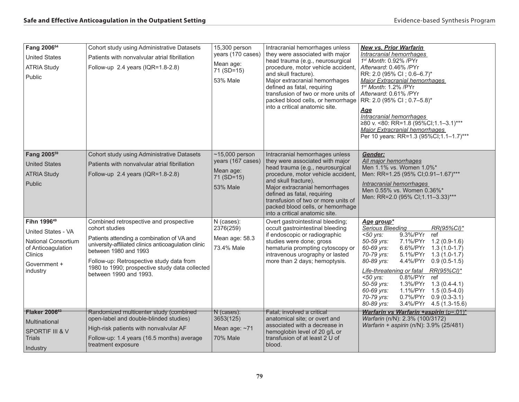| Fang 200664<br><b>United States</b><br><b>ATRIA Study</b><br>Public                                                                             | Cohort study using Administrative Datasets<br>Patients with nonvalvular atrial fibrillation<br>Follow-up 2.4 years (IQR=1.8-2.8)                                                                                                                                                                                | 15,300 person<br>years (170 cases)<br>Mean age:<br>71 (SD=15)<br><b>53% Male</b>    | Intracranial hemorrhages unless<br>they were associated with major<br>head trauma (e.g., neurosurgical<br>procedure, motor vehicle accident,<br>and skull fracture).<br>Major extracranial hemorrhages<br>defined as fatal, requiring<br>transfusion of two or more units of<br>packed blood cells, or hemorrhage<br>into a critical anatomic site. | <b>New vs. Prior Warfarin</b><br>Intracranial hemorrhages<br>1st Month: 0.92% / PYr<br>Afterward: 0.46% / PYr<br>RR: 2.0 (95% CI; 0.6-6.7)*<br><b>Major Extracranial hemorrhages</b><br>1st Month: 1.2% / PYr<br>Afterward: 0.61% / PYr<br>RR: 2.0 (95% CI; 0.7-5.8)*<br>Age<br>Intracranial hemorrhages<br>≥80 v. <80: RR=1.8 (95%Cl;1.1-3.1)***<br><b>Major Extracranial hemorrhages</b><br>Per 10 years: RR=1.3 (95%CI;1.1-1.7)***                                                             |
|-------------------------------------------------------------------------------------------------------------------------------------------------|-----------------------------------------------------------------------------------------------------------------------------------------------------------------------------------------------------------------------------------------------------------------------------------------------------------------|-------------------------------------------------------------------------------------|-----------------------------------------------------------------------------------------------------------------------------------------------------------------------------------------------------------------------------------------------------------------------------------------------------------------------------------------------------|---------------------------------------------------------------------------------------------------------------------------------------------------------------------------------------------------------------------------------------------------------------------------------------------------------------------------------------------------------------------------------------------------------------------------------------------------------------------------------------------------|
| Fang 2005 <sup>59</sup><br><b>United States</b><br><b>ATRIA Study</b><br>Public                                                                 | Cohort study using Administrative Datasets<br>Patients with nonvalvular atrial fibrillation<br>Follow-up 2.4 years (IQR=1.8-2.8)                                                                                                                                                                                | $~15,000$ person<br>years (167 cases)<br>Mean age:<br>71 (SD=15)<br><b>53% Male</b> | Intracranial hemorrhages unless<br>they were associated with major<br>head trauma (e.g., neurosurgical<br>procedure, motor vehicle accident,<br>and skull fracture).<br>Major extracranial hemorrhages<br>defined as fatal, requiring<br>transfusion of two or more units of<br>packed blood cells, or hemorrhage<br>into a critical anatomic site. | Gender:<br>All major hemorrhages<br>Men 1.1% vs. Women 1.0%*<br>Men: RR=1.25 (95% CI;0.91-1.67)***<br>Intracranial hemorrhages<br>Men 0.55% vs. Women 0.36%*<br>Men: RR=2.0 (95% CI;1.11-3.33)***                                                                                                                                                                                                                                                                                                 |
| Fihn 1996 <sup>49</sup><br>United States - VA<br><b>National Consortium</b><br>of Anticoagulation<br><b>Clinics</b><br>Government +<br>industry | Combined retrospective and prospective<br>cohort studies<br>Patients attending a combination of VA and<br>university-affiliated clinics anticoagulation clinic<br>between 1980 and 1993<br>Follow-up: Retrospective study data from<br>1980 to 1990; prospective study data collected<br>between 1990 and 1993. | N (cases):<br>2376(259)<br>Mean age: 58.3<br>73.4% Male                             | Overt gastrointestinal bleeding;<br>occult gastrointestinal bleeding<br>if endoscopic or radiographic<br>studies were done; gross<br>hematuria prompting cytoscopy or<br>intravenous urography or lasted<br>more than 2 days; hemoptysis.                                                                                                           | Age group*<br>Serious Bleeding<br>$RR(95\%CI)^*$<br>$<$ 50 yrs:<br>9.3%/PYr ref<br>50-59 yrs:<br>7.1%/PYr 1.2 (0.9-1.6)<br>60-69 yrs:<br>6.6%/PYr 1.3 (1.0-1.7)<br>70-79 yrs:<br>$5.1\%$ /PYr $1.3(1.0-1.7)$<br>80-89 yrs:<br>4.4%/PYr 0.9 (0.5-1.5)<br>Life-threatening or fatal RR(95%CI)*<br>0.8%/PYr ref<br>$<$ 50 yrs:<br>50-59 yrs:<br>1.3%/PYr 1.3 (0.4-4.1)<br>60-69 yrs:<br>1.1%/PYr 1.5 (0.5-4.0)<br>70-79 yrs:<br>$0.7\%$ /PYr $0.9(0.3-3.1)$<br>3.4%/PYr 4.5 (1.3-15.6)<br>80-89 yrs: |
| Flaker 200663<br>Multinational<br>SPORTIF III & V<br><b>Trials</b><br>Industry                                                                  | Randomized multicenter study (combined<br>open-label and double-blinded studies)<br>High-risk patients with nonvalvular AF<br>Follow-up: 1.4 years (16.5 months) average<br>treatment exposure                                                                                                                  | $N$ (cases):<br>3653(125)<br>Mean age: ~71<br><b>70% Male</b>                       | Fatal; involved a critical<br>anatomical site; or overt and<br>associated with a decrease in<br>hemoglobin level of 20 g/L or<br>transfusion of at least 2 U of<br>blood.                                                                                                                                                                           | Warfarin vs Warfarin +aspirin $(p=01)^*$<br>Warfarin (n/N): 2.3% (100/3172)<br>Warfarin + aspirin (n/N): 3.9% (25/481)                                                                                                                                                                                                                                                                                                                                                                            |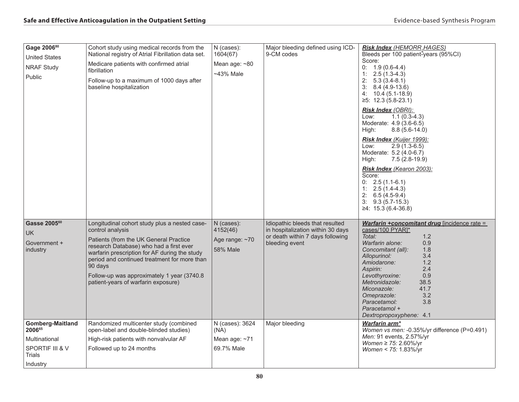| Gage 200680<br><b>United States</b><br><b>NRAF Study</b><br>Public                          | Cohort study using medical records from the<br>National registry of Atrial Fibrillation data set.<br>Medicare patients with confirmed atrial<br>fibrillation<br>Follow-up to a maximum of 1000 days after<br>baseline hospitalization                                                                                                                    | N (cases):<br>1604(67)<br>Mean age: ~80<br>~43% Male        | Major bleeding defined using ICD-<br>9-CM codes                                                                            | <b>Risk Index (HEMORR, HAGES)</b><br>Bleeds per 100 patient-years (95%CI)<br>Score:<br>$0: 1.9(0.6-4.4)$<br>$1: 2.5(1.3-4.3)$<br>$2: 5.3(3.4-8.1)$<br>$3: 8.4(4.9-13.6)$<br>$4: 10.4(5.1-18.9)$<br>$≥5$ : 12.3 (5.8-23.1)<br><b>Risk Index (OBRI):</b><br>$1.1(0.3-4.3)$<br>Low:<br>Moderate: 4.9 (3.6-6.5)<br>High:<br>$8.8(5.6-14.0)$<br>Risk Index (Kuijer 1999):<br>$2.9(1.3-6.5)$<br>Low:<br>Moderate: 5.2 (4.0-6.7)<br>$7.5(2.8-19.9)$<br>High:<br>Risk Index (Kearon 2003):<br>Score:<br>$0: 2.5(1.1-6.1)$<br>$1: 2.5(1.4-4.3)$<br>$2: 6.5(4.5-9.4)$<br>$3: 9.3(5.7-15.3)$<br>$≥4$ : 15.3 (6.4-36.8) |
|---------------------------------------------------------------------------------------------|----------------------------------------------------------------------------------------------------------------------------------------------------------------------------------------------------------------------------------------------------------------------------------------------------------------------------------------------------------|-------------------------------------------------------------|----------------------------------------------------------------------------------------------------------------------------|-------------------------------------------------------------------------------------------------------------------------------------------------------------------------------------------------------------------------------------------------------------------------------------------------------------------------------------------------------------------------------------------------------------------------------------------------------------------------------------------------------------------------------------------------------------------------------------------------------------|
| Gasse 2005 <sup>60</sup><br><b>UK</b><br>Government +<br>industry                           | Longitudinal cohort study plus a nested case-<br>control analysis<br>Patients (from the UK General Practice<br>research Database) who had a first ever<br>warfarin prescription for AF during the study<br>period and continued treatment for more than<br>90 days<br>Follow-up was approximately 1 year (3740.8)<br>patient-years of warfarin exposure) | N (cases):<br>4152(46)<br>Age range: ~70<br><b>58% Male</b> | Idiopathic bleeds that resulted<br>in hospitalization within 30 days<br>or death within 7 days following<br>bleeding event | Warfarin +concomitant drug [incidence rate =<br>cases/100 PYAR]*<br>Total:<br>1.2<br>0.9<br>Warfarin alone:<br>1.8<br>Concomitant (all):<br>3.4<br>Allopurinol:<br>1.2<br>Amiodarone:<br>2.4<br>Aspirin:<br>0.9<br>Levothyroxine:<br>Metronidazole:<br>38.5<br>Miconazole:<br>41.7<br>Omeprazole:<br>3.2<br>3.8<br>Paracetamol:<br>Paracetamol +<br>Dextropropoxyphene: 4.1                                                                                                                                                                                                                                 |
| <b>Gomberg-Maitland</b><br>200665<br>Multinational<br>SPORTIF III & V<br>Trials<br>Industry | Randomized multicenter study (combined<br>open-label and double-blinded studies)<br>High-risk patients with nonvalvular AF<br>Followed up to 24 months                                                                                                                                                                                                   | N (cases): 3624<br>(NA)<br>Mean age: ~71<br>69.7% Male      | Major bleeding                                                                                                             | Warfarin arm*<br>Women vs men: -0.35%/yr difference (P=0.491)<br>Men: 91 events, 2.57%/yr<br><i>Women</i> ≥ 75: 2.60%/yr<br>Women < 75: 1.83%/yr                                                                                                                                                                                                                                                                                                                                                                                                                                                            |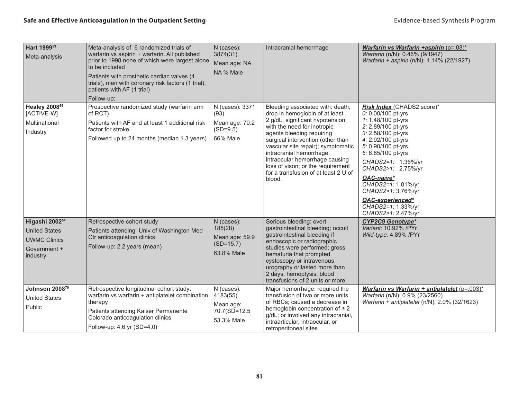| Hart 1999 <sup>53</sup><br>Meta-analysis                                                                                | Meta-analysis of 6 randomized trials of<br>warfarin vs aspirin + warfarin. All published<br>prior to 1998 none of which were largest alone<br>to be included<br>Patients with prosthetic cardiac valves (4<br>trials), men with coronary risk factors (1 trial),<br>patients with AF (1 trial)<br>Follow-up: | N (cases):<br>3874(31)<br>Mean age: NA<br>NA % Male                                            | Intracranial hemorrhage                                                                                                                                                                                                                                                                                                                                                                           | Warfarin vs Warfarin +aspirin $(p=.08)^*$<br>Warfarin (n/N): 0.46% (9/1947)<br>Warfarin + aspirin (n/N): 1.14% (22/1927)                                                                                                                                                                                                                                          |
|-------------------------------------------------------------------------------------------------------------------------|--------------------------------------------------------------------------------------------------------------------------------------------------------------------------------------------------------------------------------------------------------------------------------------------------------------|------------------------------------------------------------------------------------------------|---------------------------------------------------------------------------------------------------------------------------------------------------------------------------------------------------------------------------------------------------------------------------------------------------------------------------------------------------------------------------------------------------|-------------------------------------------------------------------------------------------------------------------------------------------------------------------------------------------------------------------------------------------------------------------------------------------------------------------------------------------------------------------|
| Healey 2008 <sup>69</sup><br>[ACTIVE-W]<br>Multinational<br>Industry                                                    | Prospective randomized study (warfarin arm<br>of RCT)<br>Patients with AF and at least 1 additional risk<br>factor for stroke<br>Followed up to 24 months (median 1.3 years)                                                                                                                                 | N (cases): 3371<br>(93)<br>Mean age: 70.2<br>$(SD=9.5)$<br>66% Male                            | Bleeding associated with: death;<br>drop in hemoglobin of at least<br>2 g/dL; significant hypotension<br>with the need for inotropic<br>agents bleeding requiring<br>surgical intervention (other than<br>vascular site repair); symptomatic<br>intracranial hemorrhage;<br>intraocular hemorrhage causing<br>loss of vison; or the requirement<br>for a transfusion of at least 2 U of<br>blood. | Risk Index (CHADS2 score)*<br>0: 0.00/100 pt-yrs<br>1: 1.48/100 pt-yrs<br>2: 2.89/100 pt-yrs<br>3: 2.58/100 pt-yrs<br>4: 2.92/100 pt-yrs<br>5: 0.90/100 pt-yrs<br>6: 6.85/100 pt-yrs<br>CHADS2=1: 1.36%/yr<br>CHADS2>1: 2.75%/yr<br>OAC-naïve*<br>CHADS2=1: 1.81%/yr<br>CHADS2>1: 3.76%/yr<br><b>OAC-experienced*</b><br>CHADS2=1: 1.33%/yr<br>CHADS2>1: 2.47%/yr |
| Higashi 2002 <sup>54</sup><br><b>United States</b><br><b>UWMC Clinics</b><br>Government +<br>industry<br>Johnson 200870 | Retrospective cohort study<br>Patients attending Univ of Washington Med<br>Ctr anticoagulation clinics<br>Follow-up: 2.2 years (mean)<br>Retrospective longitudinal cohort study:<br>warfarin vs warfarin + antiplatelet combination                                                                         | N (cases):<br>185(28)<br>Mean age: 59.9<br>$(SD=15.7)$<br>63.8% Male<br>N (cases):<br>4183(55) | Serious bleeding: overt<br>gastrointestinal bleeding; occult<br>gastrointestinal bleeding if<br>endoscopic or radiographic<br>studies were performed; gross<br>hematuria that prompted<br>cystoscopy or intravenous<br>urography or lasted more than<br>2 days; hemoptysis; blood<br>transfusions of 2 units or more.<br>Major hemorrhage: required the<br>transfusion of two or more units       | <b>CYP2C9 Genotype*</b><br>Variant: 10.92% / PYr<br>Wild-type: 4.89% /PYr<br>Warfarin vs Warfarin + antiplatelet (p=.003)*<br>Warfarin (n/N): 0.9% (23/2560)                                                                                                                                                                                                      |
| <b>United States</b><br>Public                                                                                          | therapy<br>Patients attending Kaiser Permanente<br>Colorado anticoagulation clinics<br>Follow-up: 4.6 yr (SD=4.0)                                                                                                                                                                                            | Mean age:<br>70.7(SD=12.5<br>53.3% Male                                                        | of RBCs; caused a decrease in<br>hemoglobin concentration of $\geq 2$<br>g/dL; or involved any intracranial,<br>intraarticular, intraocular, or<br>retroperitoneal sites                                                                                                                                                                                                                          | Warfarin + antiplatelet ( $n/N$ ): 2.0% (32/1623)                                                                                                                                                                                                                                                                                                                 |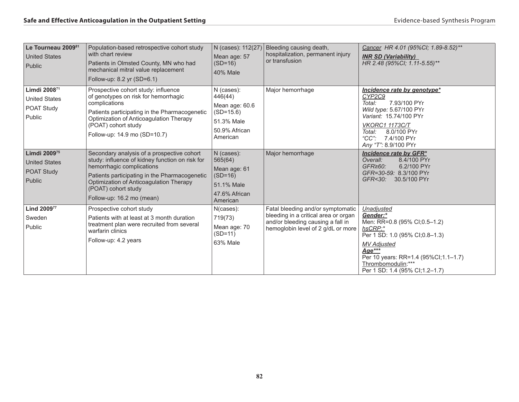| Le Tourneau 2009 <sup>81</sup><br><b>United States</b><br>Public                | Population-based retrospective cohort study<br>with chart review<br>Patients in Olmsted County, MN who had<br>mechanical mitral value replacement<br>Follow-up: 8.2 yr (SD=6.1)                                                                                            | N (cases): 112(27)<br>Mean age: 57<br>$(SD=16)$<br><b>40% Male</b>                                | Bleeding causing death,<br>hospitalization, permanent injury<br>or transfusion                                                                       | Cancer HR 4.01 (95%CI; 1.89-8.52)**<br><b>INR SD (Variability)</b><br>HR 2.48 (95%CI; 1.11-5.55)**                                                                                                                                    |
|---------------------------------------------------------------------------------|----------------------------------------------------------------------------------------------------------------------------------------------------------------------------------------------------------------------------------------------------------------------------|---------------------------------------------------------------------------------------------------|------------------------------------------------------------------------------------------------------------------------------------------------------|---------------------------------------------------------------------------------------------------------------------------------------------------------------------------------------------------------------------------------------|
| Limdi 2008 <sup>71</sup><br><b>United States</b><br><b>POAT Study</b><br>Public | Prospective cohort study: influence<br>of genotypes on risk for hemorrhagic<br>complications<br>Patients participating in the Pharmacogenetic<br>Optimization of Anticoagulation Therapy<br>(POAT) cohort study<br>Follow-up: 14.9 mo (SD=10.7)                            | N (cases):<br>446(44)<br>Mean age: 60.6<br>$(SD=15.6)$<br>51.3% Male<br>50.9% African<br>American | Major hemorrhage                                                                                                                                     | <i>Incidence rate by genotype*</i><br>CYP2C9<br>Total:<br>7.93/100 PYr<br>Wild type: 5.67/100 PYr<br>Variant: 15.74/100 PYr<br><b>VKORC1 1173C/T</b><br>8.0/100 PYr<br>Total:<br>"CC": 7.4/100 PYr<br>Any "T": 8.9/100 PYr            |
| Limdi 200975<br><b>United States</b><br><b>POAT Study</b><br>Public             | Secondary analysis of a prospective cohort<br>study: influence of kidney function on risk for<br>hemorrhagic complications<br>Patients participating in the Pharmacogenetic<br>Optimization of Anticoagulation Therapy<br>(POAT) cohort study<br>Follow-up: 16.2 mo (mean) | N (cases):<br>565(64)<br>Mean age: 61<br>$(SD=16)$<br>51.1% Male<br>47.6% African<br>American     | Major hemorrhage                                                                                                                                     | Incidence rate by GFR*<br>8.4/100 PYr<br>Overall:<br>GFR <sub>260</sub><br>6.2/100 PYr<br>GFR=30-59: 8.3/100 PYr<br>GFR<30:<br>30.5/100 PYr                                                                                           |
| Lind 200977<br>Sweden<br>Public                                                 | Prospective cohort study<br>Patients with at least at 3 month duration<br>treatment plan were recruited from several<br>warfarin clinics<br>Follow-up: 4.2 years                                                                                                           | N(cases):<br>719(73)<br>Mean age: 70<br>$(SD=11)$<br>63% Male                                     | Fatal bleeding and/or symptomatic<br>bleeding in a critical area or organ<br>and/or bleeding causing a fall in<br>hemoglobin level of 2 g/dL or more | Unadjusted<br>Gender:*<br>Men: RR=0.8 (95% CI;0.5-1.2)<br>hsCRP:*<br>Per 1 SD: 1.0 (95% CI; 0.8-1.3)<br><b>MV</b> Adjusted<br>Age***<br>Per 10 years: RR=1.4 (95%CI;1.1-1.7)<br>Thrombomodulin:***<br>Per 1 SD: 1.4 (95% CI; 1.2-1.7) |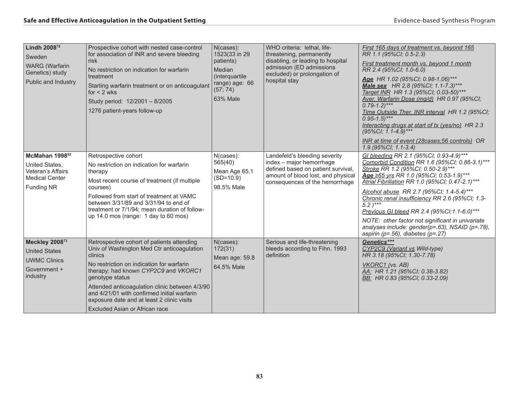| Lindh 2008 <sup>72</sup><br>Sweden<br><b>WARG</b> (Warfarin<br>Genetics) study<br>Public and Industry           | Prospective cohort with nested case-control<br>for association of INR and severe bleeding<br>risk<br>No restriction on indication for warfarin<br>treatment<br>Starting warfarin treatment or on anticoagulant<br>for $<$ 2 wks<br>Study period: 12/2001 - 8/2005<br>1276 patient-years follow-up                                                                                            | N(cases):<br>1523(33 in 29<br>patients)<br>Median<br>(interquartile<br>range) age: 66<br>(57; 74)<br>63% Male | WHO criteria: lethal, life-<br>threatening, permanently<br>disabling, or leading to hospital<br>admission (ED admissions)<br>excluded) or prolongation of<br>hospital stay | First 165 days of treatment vs. beyond 165<br>RR 1.1 (95%CI; 0.5-2.3)<br>First treatment month vs. beyond 1 month<br>RR 2.4 (95%Cl; 1.0-6.0)<br>Age HR 1.02 (95%CI; 0.98-1.06)***<br>Male sex HR 2.8 (95%Cl; 1.1-7.3)***<br>Target INR HR 1.3 (95%CI; 0.03-50)***<br>Aver. Warfarin Dose (mg/d) HR 0.97 (95%CI;<br>$0.79 - 1.2$ <sup>***</sup><br>Time Outside Ther. INR interval HR 1.2 (95%CI;<br>$0.95 - 1.5$ <sup>***</sup><br>Interacting drugs at start of tx (yes/no) HR 2.3<br>(95%CI; 1.1-4.9)***<br>INR at time of event (28 cases: 56 controls) OR<br>1.9 (95%CI; 1.1-3.4) |
|-----------------------------------------------------------------------------------------------------------------|----------------------------------------------------------------------------------------------------------------------------------------------------------------------------------------------------------------------------------------------------------------------------------------------------------------------------------------------------------------------------------------------|---------------------------------------------------------------------------------------------------------------|----------------------------------------------------------------------------------------------------------------------------------------------------------------------------|---------------------------------------------------------------------------------------------------------------------------------------------------------------------------------------------------------------------------------------------------------------------------------------------------------------------------------------------------------------------------------------------------------------------------------------------------------------------------------------------------------------------------------------------------------------------------------------|
| McMahan 1998 <sup>52</sup><br>United States.<br>Veteran's Affairs<br><b>Medical Center</b><br><b>Funding NR</b> | Retrospective cohort<br>No restriction on indication for warfarin<br>therapy<br>Most recent course of treatment (if multiple<br>courses)<br>Followed from start of treatment at VAMC<br>between 3/31/89 and 3/31/94 to end of<br>treatment or 7/1/94; mean duration of follow-<br>up 14.0 mos (range: $1$ day to 60 mos)                                                                     | N(cases):<br>565(40)<br>Mean Age 65.1<br>$(SD=10.9)$<br>98.5% Male                                            | Landefeld's bleeding severity<br>index - major hemorrhage<br>defined based on patient survival,<br>amount of blood lost, and physical<br>consequences of the hemorrhage    | GI bleeding RR 2.1 (95%CI; 0.93-4.9)***<br>Comorbid Condition RR 1.6 (95%CI; 0.86-3.1)***<br>Stroke RR 1.2 (95%CI; 0.50-2.9)***<br>Age ≥65 yrs RR 1.0 (95%CI; 0.53-1.9)***<br>Atrial Fibrillation RR 1.0 (95%CI; 0.47-2.1)***<br>Alcohol abuse RR 2.7 (95%CI; 1.4-5.4)***<br>Chronic renal insufficiency RR 2.6 (95%Cl; 1.3-<br>$5.2$ )***<br>Previous GI bleed RR 2.4 (95%CI;1.1-6.0)***<br>NOTE: other factor not significant in univariate<br>analyses include: gender(p=.63), NSAID (p=.78),<br>aspirin ( $p = .56$ ), diabetes ( $p = .27$ )                                     |
| Meckley 200873<br><b>United States</b><br><b>UWMC Clinics</b><br>Government +<br>industry                       | Retrospective cohort of patients attending<br>Univ of Washington Med Ctr anticoagulation<br>clinics<br>No restriction on indication for warfarin<br>therapy; had known CYP2C9 and VKORC1<br>genotype status<br>Attended anticoagulation clinic between 4/3/90<br>and 4/21/01 with confirmed initial warfarin<br>exposure date and at least 2 clinic visits<br>Excluded Asian or African race | N(cases):<br>172(31)<br>Mean age: 59.8<br>64.5% Male                                                          | Serious and life-threatening<br>bleeds according to Fihn, 1993<br>definition                                                                                               | Genetics***<br>CYP2C9 (Variant vs Wild-type)<br>HR 3.18 (95%CI; 1.30-7.78)<br>VKORC1 (vs. AB)<br>AA: HR 1.21 (95%CI; 0.38-3.82)<br>BB: HR 0.83 (95%CI; 0.33-2.09)                                                                                                                                                                                                                                                                                                                                                                                                                     |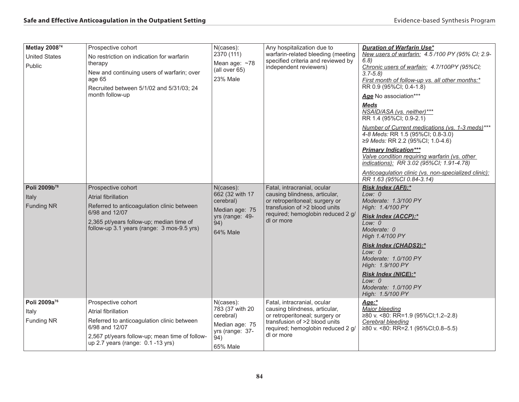| Metlay 200874<br><b>United States</b><br>Public<br>Poli 2009b <sup>78</sup><br>Italy<br><b>Funding NR</b> | Prospective cohort<br>No restriction on indication for warfarin<br>therapy<br>New and continuing users of warfarin; over<br>age 65<br>Recruited between 5/1/02 and 5/31/03; 24<br>month follow-up<br>Prospective cohort<br><b>Atrial fibrillation</b><br>Referred to anticoagulation clinic between<br>6/98 and 12/07<br>2,365 pt/years follow-up; median time of<br>follow-up 3.1 years (range: 3 mos-9.5 yrs) | N(cases):<br>2370 (111)<br>Mean age: ~78<br>(all over 65)<br><b>23% Male</b><br>N(cases):<br>662 (32 with 17<br>cerebral)<br>Median age: 75<br>yrs (range: 49-<br>94)<br><b>64% Male</b> | Any hospitalization due to<br>warfarin-related bleeding (meeting<br>specified criteria and reviewed by<br>independent reviewers)<br>Fatal, intracranial, ocular<br>causing blindness, articular,<br>or retroperitoneal; surgery or<br>transfusion of >2 blood units<br>required; hemoglobin reduced 2 g/<br>dl or more | <b>Duration of Warfarin Use*</b><br>New users of warfarin: 4.5/100 PY (95% CI; 2.9-<br>6.8)<br>Chronic users of warfain: 4.7/100PY (95%CI;<br>$3.7 - 5.8$<br>First month of follow-up vs. all other months:*<br>RR 0.9 (95%CI; 0.4-1.8)<br>Age No association***<br><b>Meds</b><br>NSAID/ASA (vs. neither)***<br>RR 1.4 (95%CI; 0.9-2.1)<br>Number of Current medications (vs. 1-3 meds)***<br>4-8 Meds: RR 1.5 (95%CI; 0.8-3.0)<br>≥9 Meds: RR 2.2 (95%CI; 1.0-4.6)<br><b>Primary Indication***</b><br>Valve condition requiring warfarin (vs. other<br>indications): RR 3.02 (95%CI; 1.91-4.78)<br>Anticoagulation clinic (vs. non-specialized clinic):<br>RR 1.63 (95%CI 0.84-3.14)<br>Risk Index (AFI):*<br>Low: $0$<br>Moderate: 1.3/100 PY<br>High: 1.4/100 PY<br><b>Risk Index (ACCP):*</b><br>Low: 0<br>Moderate: 0<br>High 1.4/100 PY<br>Risk Index (CHADS2):*<br>Low: $0$<br>Moderate: 1.0/100 PY<br>High: 1.9/100 PY<br><b>Risk Index (NICE):*</b><br>Low: $0$ |
|-----------------------------------------------------------------------------------------------------------|-----------------------------------------------------------------------------------------------------------------------------------------------------------------------------------------------------------------------------------------------------------------------------------------------------------------------------------------------------------------------------------------------------------------|------------------------------------------------------------------------------------------------------------------------------------------------------------------------------------------|------------------------------------------------------------------------------------------------------------------------------------------------------------------------------------------------------------------------------------------------------------------------------------------------------------------------|---------------------------------------------------------------------------------------------------------------------------------------------------------------------------------------------------------------------------------------------------------------------------------------------------------------------------------------------------------------------------------------------------------------------------------------------------------------------------------------------------------------------------------------------------------------------------------------------------------------------------------------------------------------------------------------------------------------------------------------------------------------------------------------------------------------------------------------------------------------------------------------------------------------------------------------------------------------------------|
|                                                                                                           |                                                                                                                                                                                                                                                                                                                                                                                                                 |                                                                                                                                                                                          |                                                                                                                                                                                                                                                                                                                        | Moderate: 1.0/100 PY<br>High: 1.5/100 PY                                                                                                                                                                                                                                                                                                                                                                                                                                                                                                                                                                                                                                                                                                                                                                                                                                                                                                                                  |
| Poli 2009a <sup>76</sup><br>Italy<br><b>Funding NR</b>                                                    | Prospective cohort<br>Atrial fibrillation<br>Referred to anticoagulation clinic between<br>6/98 and 12/07<br>2,567 pt/years follow-up; mean time of follow-<br>up 2.7 years (range: 0.1 -13 yrs)                                                                                                                                                                                                                | N(cases):<br>783 (37 with 20<br>cerebral)<br>Median age: 75<br>yrs (range: 37-<br>(94)<br>65% Male                                                                                       | Fatal, intracranial, ocular<br>causing blindness, articular,<br>or retroperitoneal; surgery or<br>transfusion of >2 blood units<br>required; hemoglobin reduced 2 g/<br>dl or more                                                                                                                                     | Age:*<br>Major bleeding<br>≥80 v. <80: RR=1.9 (95%CI;1.2-2.8)<br>Cerebral bleeding<br>≥80 v. <80: RR=2.1 (95%CI;0.8-5.5)                                                                                                                                                                                                                                                                                                                                                                                                                                                                                                                                                                                                                                                                                                                                                                                                                                                  |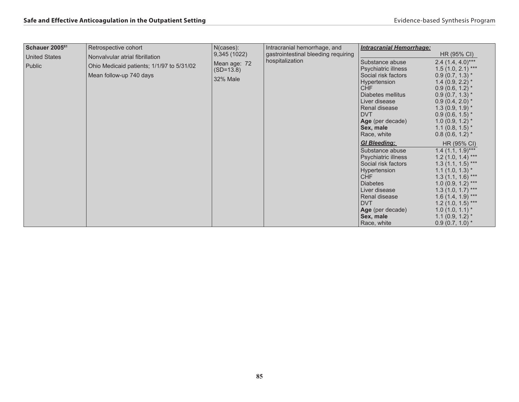| Schauer 2005 <sup>61</sup>                                                                                                | Retrospective cohort            | $N$ (cases):    | Intracranial hemorrhage, and                                                                                                                                                                                     | <b>Intracranial Hemorrhage:</b>                                                                                                                                                                                                                                  |                                                                                                                                                                                                                                                                                          |
|---------------------------------------------------------------------------------------------------------------------------|---------------------------------|-----------------|------------------------------------------------------------------------------------------------------------------------------------------------------------------------------------------------------------------|------------------------------------------------------------------------------------------------------------------------------------------------------------------------------------------------------------------------------------------------------------------|------------------------------------------------------------------------------------------------------------------------------------------------------------------------------------------------------------------------------------------------------------------------------------------|
| <b>United States</b>                                                                                                      | Nonvalvular atrial fibrillation | 9,345 (1022)    | gastrointestinal bleeding requiring                                                                                                                                                                              |                                                                                                                                                                                                                                                                  | HR (95% CI)                                                                                                                                                                                                                                                                              |
| Mean age: 72<br>Public<br>Ohio Medicaid patients; 1/1/97 to 5/31/02<br>$(SD=13.8)$<br>Mean follow-up 740 days<br>32% Male |                                 | hospitalization | Substance abuse<br>Psychiatric illness<br>Social risk factors<br>Hypertension<br><b>CHF</b><br>Diabetes mellitus<br>Liver disease<br>Renal disease<br><b>DVT</b><br>Age (per decade)<br>Sex, male<br>Race, white | 2.4 $(1.4, 4.0)$ ***<br>$1.5(1.0, 2.1)$ ***<br>$0.9(0.7, 1.3)$ *<br>1.4 $(0.9, 2.2)$ *<br>$0.9(0.6, 1.2)$ *<br>$0.9(0.7, 1.3)$ *<br>$0.9(0.4, 2.0)$ *<br>$1.3(0.9, 1.9)^{*}$<br>$0.9(0.6, 1.5)$ *<br>$1.0(0.9, 1.2)$ *<br>$1.1(0.8, 1.5)$ *<br>$0.8(0.6, 1.2)$ * |                                                                                                                                                                                                                                                                                          |
|                                                                                                                           |                                 |                 |                                                                                                                                                                                                                  | <b>GI Bleeding:</b><br>Substance abuse<br>Psychiatric illness<br>Social risk factors<br>Hypertension<br>CHF<br><b>Diabetes</b><br>Liver disease<br>Renal disease<br><b>DVT</b><br>Age (per decade)<br>Sex, male<br>Race, white                                   | HR (95% CI)<br>$1.4$ (1.1, 1.9)***<br>$1.2(1.0, 1.4)$ ***<br>$1.3(1.1, 1.5)$ ***<br>$1.1(1.0, 1.3)$ *<br>$1.3(1.1, 1.6)$ ***<br>$1.0(0.9, 1.2)$ ***<br>$1.3(1.0, 1.7)$ ***<br>$1.6(1.4, 1.9)$ ***<br>$1.2(1.0, 1.5)$ ***<br>$1.0(1.0, 1.1)^*$<br>1.1 $(0.9, 1.2)$ *<br>$0.9(0.7, 1.0)$ * |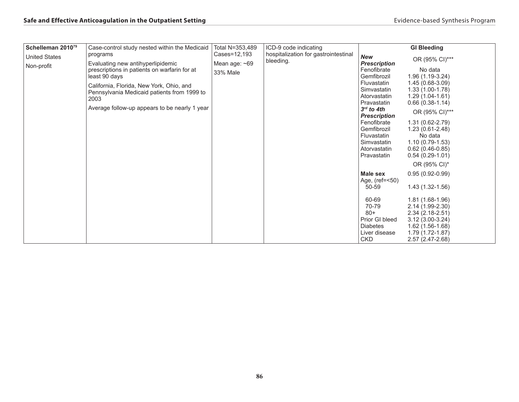| Schelleman 2010 <sup>79</sup> | Case-control study nested within the Medicaid                                                                                                                                                                                                          | Total N=353,489             | ICD-9 code indicating                |                                                                                                                                                                                                                                   | <b>GI Bleeding</b>                                                                                                                                                                                                                    |
|-------------------------------|--------------------------------------------------------------------------------------------------------------------------------------------------------------------------------------------------------------------------------------------------------|-----------------------------|--------------------------------------|-----------------------------------------------------------------------------------------------------------------------------------------------------------------------------------------------------------------------------------|---------------------------------------------------------------------------------------------------------------------------------------------------------------------------------------------------------------------------------------|
| <b>United States</b>          | programs                                                                                                                                                                                                                                               | Cases=12.193                | hospitalization for gastrointestinal | <b>New</b>                                                                                                                                                                                                                        | OR (95% CI)***                                                                                                                                                                                                                        |
| Non-profit                    | Evaluating new antihyperlipidemic<br>prescriptions in patients on warfarin for at<br>least 90 days<br>California, Florida, New York, Ohio, and<br>Pennsylvania Medicaid patients from 1999 to<br>2003<br>Average follow-up appears to be nearly 1 year | Mean age: $~59$<br>33% Male | bleeding.                            | <b>Prescription</b><br>Fenofibrate<br>Gemfibrozil<br>Fluvastatin<br>Simvastatin<br>Atorvastatin<br>Pravastatin<br>$3rd$ to 4th<br><b>Prescription</b><br>Fenofibrate<br>Gemfibrozil<br>Fluvastatin<br>Simvastatin<br>Atorvastatin | No data<br>$1.96(1.19-3.24)$<br>$1.45(0.68-3.09)$<br>$1.33(1.00-1.78)$<br>$1.29(1.04-1.61)$<br>$0.66(0.38-1.14)$<br>OR (95% CI)***<br>$1.31(0.62 - 2.79)$<br>$1.23(0.61 - 2.48)$<br>No data<br>$1.10(0.79-1.53)$<br>$0.62(0.46-0.85)$ |
|                               |                                                                                                                                                                                                                                                        |                             |                                      | Pravastatin<br>Male sex<br>Age, (ref=<50)<br>50-59<br>60-69<br>70-79<br>$80+$<br>Prior GI bleed<br><b>Diabetes</b><br>Liver disease                                                                                               | $0.54(0.29-1.01)$<br>OR (95% CI)*<br>$0.95(0.92-0.99)$<br>$1.43(1.32 - 1.56)$<br>1.81 (1.68-1.96)<br>2.14 (1.99-2.30)<br>$2.34(2.18-2.51)$<br>$3.12(3.00-3.24)$<br>1.62 (1.56-1.68)<br>1.79 (1.72-1.87)                               |
|                               |                                                                                                                                                                                                                                                        |                             |                                      | <b>CKD</b>                                                                                                                                                                                                                        | 2.57 (2.47-2.68)                                                                                                                                                                                                                      |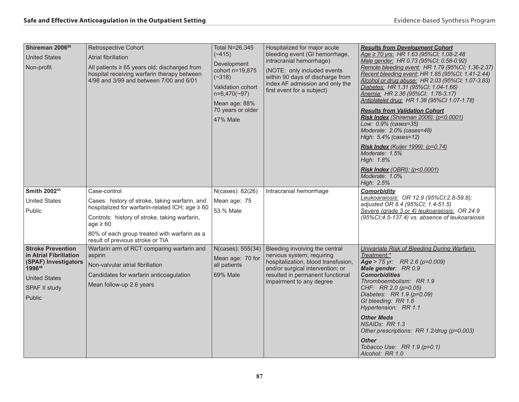| Shireman 2006 <sup>66</sup><br><b>United States</b><br>Non-profit                                                                       | Retrospective Cohort<br>Atrial fibrillation<br>All patients $\geq 65$ years old; discharged from<br>hospital receiving warfarin therapy between<br>4/98 and 3/99 and between 7/00 and 6/01                                                                              | Total N=26,345<br>$(*415)$<br>Development<br>cohort n=19,875<br>$(-318)$<br><b>Validation cohort</b><br>$n=6,470(-97)$<br>Mean age: 88%<br>70 years or older<br><b>47% Male</b> | Hospitalized for major acute<br>bleeding event (GI hemorrhage,<br>intracranial hemorrhage)<br>(NOTE: only included events<br>within 90 days of discharge from<br>index AF admission and only the<br>first event for a subject) | <b>Results from Development Cohort</b><br>Age ≥ 70 yrs: HR 1.63 (95%Cl; 1.08-2.48<br>Male gender: HR 0.73 (95%CI; 0.58-0.92)<br>Remote bleeding event: HR 1.79 (95%CI; 1.36-2.37)<br>Recent bleeding event: HR 1.85 (95%CI; 1.41-2.44)<br>Alcohol or drug abuse: HR 2.03 (95%CI; 1.07-3.83)<br>Diabetes: HR 1.31 (95%CI; 1.04-1.66)<br>Anemia: HR 2.36 (95%Cl: 1.76-3.17)<br>Antiplatelet drug: HR 1.38 (95%Cl 1.07-1.78)<br><b>Results from Validation Cohort</b><br>Risk Index (Shireman 2006): (p<0.0001)<br>Low: 0.9% (cases=35)<br>Moderate: 2.0% (cases=48)<br>High: 5.4% (cases=12)<br><b>Risk Index</b> (Kuijer 1999): (p=0.74)<br>Moderate: 1.5%<br>High: 1.8%<br><b>Risk Index (OBRI): (p&lt;0.0001)</b><br>Moderate: 1.0%<br>High: 2.5% |
|-----------------------------------------------------------------------------------------------------------------------------------------|-------------------------------------------------------------------------------------------------------------------------------------------------------------------------------------------------------------------------------------------------------------------------|---------------------------------------------------------------------------------------------------------------------------------------------------------------------------------|--------------------------------------------------------------------------------------------------------------------------------------------------------------------------------------------------------------------------------|----------------------------------------------------------------------------------------------------------------------------------------------------------------------------------------------------------------------------------------------------------------------------------------------------------------------------------------------------------------------------------------------------------------------------------------------------------------------------------------------------------------------------------------------------------------------------------------------------------------------------------------------------------------------------------------------------------------------------------------------------|
| Smith 2002 <sup>55</sup><br><b>United States</b><br>Public                                                                              | Case-control<br>Cases: history of stroke, taking warfarin, and<br>hospitalized for warfarin-related ICH; age ≥ 60<br>Controls: history of stroke, taking warfarin,<br>$age \geq 60$<br>80% of each group treated with warfarin as a<br>result of previous stroke or TIA | N(cases): 82(26)<br>Mean age: 75<br>53.% Male                                                                                                                                   | Intracranial hemorrhage                                                                                                                                                                                                        | <b>Comorbidity</b><br>Leukoaraiosis: OR 12.9 (95%Cl; 2.8-59.8);<br>adjusted OR 8.4 (95%CI; 1.4-51.5)<br>Severe (grade 3 or 4) leukoaraiosis: OR 24.9<br>(95%Cl;4.5-137.4) vs. absence of leukoaraiosis                                                                                                                                                                                                                                                                                                                                                                                                                                                                                                                                             |
| <b>Stroke Prevention</b><br>in Atrial Fibrillation<br>(SPAF) Investigators<br>199648<br><b>United States</b><br>SPAF II study<br>Public | Warfarin arm of RCT comparing warfarin and<br>aspirin<br>Non-valvular atrial fibrillation<br>Candidates for warfarin anticoagulation<br>Mean follow-up 2.6 years                                                                                                        | N(cases): 555(34)<br>Mean age: 70 for<br>all patients<br>69% Male                                                                                                               | Bleeding involving the central<br>nervous system; requiring<br>hospitalization, blood transfusion,<br>and/or surgical intervention; or<br>resulted in permanent functional<br>impairment to any degree                         | Univariate Risk of Bleeding During Warfarin<br>Treatment:*<br>Age > 75 yr: RR 2.6 (p=0.009)<br>Male gender: RR 0.9<br><b>Comorbidities</b><br>Thromboembolism: RR 1.9<br>CHF: RR 2.0 (p=0.05)<br>Diabetes: RR 1.9 (p=0.09)<br>GI bleeding: RR 1.6<br>Hypertension: RR 1.1<br><b>Other Meds</b><br>NSAIDs: RR 1.3<br>Other prescriptions: RR 1.2/drug (p=0.003)<br><b>Other</b><br>Tobacco Use: RR $1.9$ (p=0.1)<br>Alcohol: RR 1.0                                                                                                                                                                                                                                                                                                                 |